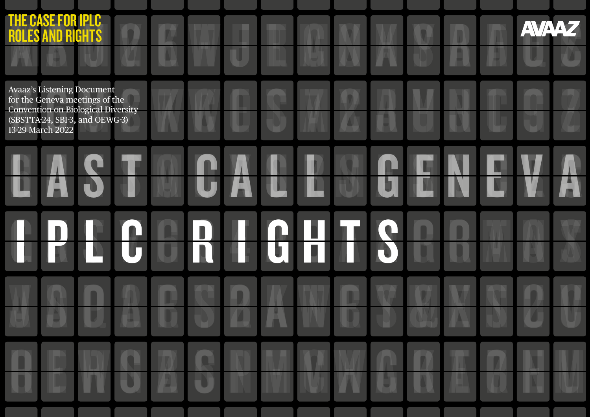| <b>THE CASE FOR IPLC</b><br><b>ROLES AND RIGHTS</b>                                                                                                      |      |                          |   |                |           |                             |  | <b>AVAA</b> |  |
|----------------------------------------------------------------------------------------------------------------------------------------------------------|------|--------------------------|---|----------------|-----------|-----------------------------|--|-------------|--|
| Avaaz's Listening Document<br>for the Geneva meetings of the<br>Convention on Biological Diversity<br>(SBSTTA-24, SBI-3, and OEWG-3)<br>13-29 March 2022 |      |                          |   |                |           |                             |  |             |  |
| WA                                                                                                                                                       |      |                          |   |                |           |                             |  |             |  |
|                                                                                                                                                          |      | In)<br>IN                | W | <u>O II TI</u> | Ш         | $\bullet$<br>$\blacksquare$ |  |             |  |
|                                                                                                                                                          |      |                          |   |                |           |                             |  |             |  |
|                                                                                                                                                          | / F. | $\Box$<br>$\blacksquare$ |   |                | <b>TY</b> |                             |  |             |  |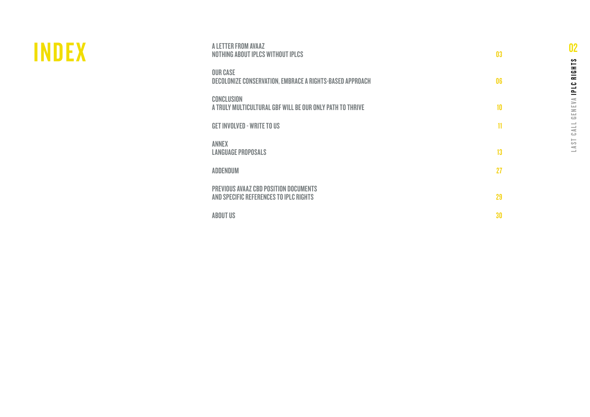| A LETTER FROM AVAAZ<br>NOTHING ABOUT IPLCS WITHOUT IPLCS                        | 03 |
|---------------------------------------------------------------------------------|----|
| <b>OUR CASE</b><br>DECOLONIZE CONSERVATION, EMBRACE A RIGHTS-BASED APPROACH     | 06 |
| <b>CONCLUSION</b><br>A TRULY MULTICULTURAL GBF WILL BE OUR ONLY PATH TO THRIVE  | 10 |
| <b>GET INVOLVED - WRITE TO US</b>                                               | 11 |
| <b>ANNEX</b><br><b>LANGUAGE PROPOSALS</b>                                       | 13 |
| <b>ADDENDUM</b>                                                                 | 27 |
| PREVIOUS AVAAZ CBD POSITION DOCUMENTS<br>AND SPECIFIC REFERENCES TO IPLC RIGHTS | 29 |
| <b>ABOUT US</b>                                                                 | 30 |

**INDEX** 

# 02LAST CALL GENEVA IPLC RIGHTS LAST CALL GENEVA IPLC RIGHTS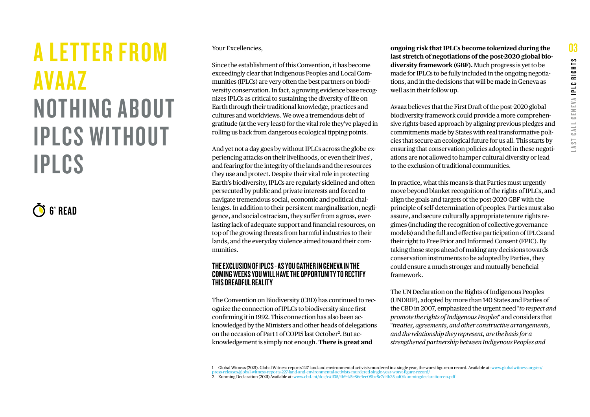## <span id="page-2-0"></span>A LETTER FROM AVAAZ NOTHING ABOUT IPLCS WITHOUT IPLCS

6' READ

Your Excellencies,

Since the establishment of this Convention, it has become exceedingly clear that Indigenous Peoples and Local Communities (IPLCs) are very often the best partners on biodiversity conservation. In fact, a growing evidence base recognizes IPLCs as critical to sustaining the diversity of life on Earth through their traditional knowledge, practices and cultures and worldviews. We owe a tremendous debt of gratitude (at the very least) for the vital role they've played in rolling us back from dangerous ecological tipping points.

And yet not a day goes by without IPLCs across the globe experiencing attacks on their livelihoods, or even their lives<sup>1</sup>, and fearing for the integrity of the lands and the resources they use and protect. Despite their vital role in protecting Earth's biodiversity, IPLCs are regularly sidelined and often persecuted by public and private interests and forced to navigate tremendous social, economic and political challenges. In addition to their persistent marginalization, negligence, and social ostracism, they suffer from a gross, everlasting lack of adequate support and financial resources, on top of the growing threats from harmful industries to their lands, and the everyday violence aimed toward their communities.

#### THE EXCLUSION OF IPLCS - AS YOU GATHER IN GENEVA IN THE COMING WEEKS YOU WILL HAVE THE OPPORTUNITY TO RECTIFY THIS DREADFUL REALITY

The Convention on Biodiversity (CBD) has continued to recognize the connection of IPLCs to biodiversity since first confirming it in 1992. This connection has also been acknowledged by the Ministers and other heads of delegations on the occasion of Part 1 of COP15 last October<sup>2</sup>. But acknowledgement is simply not enough. **There is great and** 

**ongoing risk that IPLCs become tokenized during the last stretch of negotiations of the post-2020 global biodiversity framework (GBF).** Much progress is yet to be made for IPLCs to be fully included in the ongoing negotiations, and in the decisions that will be made in Geneva as well as in their follow up.

Avaaz believes that the First Draft of the post-2020 global biodiversity framework could provide a more comprehensive rights-based approach by aligning previous pledges and commitments made by States with real transformative policies that secure an ecological future for us all. This starts by ensuring that conservation policies adopted in these negotiations are not allowed to hamper cultural diversity or lead to the exclusion of traditional communities.

In practice, what this means is that Parties must urgently move beyond blanket recognition of the rights of IPLCs, and align the goals and targets of the post-2020 GBF with the principle of self-determination of peoples. Parties must also assure, and secure culturally appropriate tenure rights regimes (including the recognition of collective governance models) and the full and effective participation of IPLCs and their right to Free Prior and Informed Consent (FPIC). By taking those steps ahead of making any decisions towards conservation instruments to be adopted by Parties, they could ensure a much stronger and mutually beneficial framework.

The UN Declaration on the Rights of Indigenous Peoples (UNDRIP), adopted by more than 140 States and Parties of the CBD in 2007, emphasized the urgent need "*to respect and promote the rights of Indigenous Peoples*" and considers that "*treaties, agreements, and other constructive arrangements, and the relationship they represent, are the basis for a strengthened partnership between Indigenous Peoples and* 

<sup>1</sup> Global Witness (2021). Global Witness reports 227 land and environmental activists murdered in a single year, the worst figure on record. Available at: [www.globalwitness.org/en/](https://www.globalwitness.org/en/press-releases/global-witness-reports-227-land-and-environmental-activists-murdered-single-year-worst-figure-record/)<br>press-releases/global-witness-reports-227-

d-and-environmental-activists-murdered-single-year-worst-figure-2 Kunming Declaration (2021) Available at: www.cbd.int/doc/c/df35/4b94/5e86e1ee09bc8c7d4b35aaf0/kunmingdeclaration-en.pdf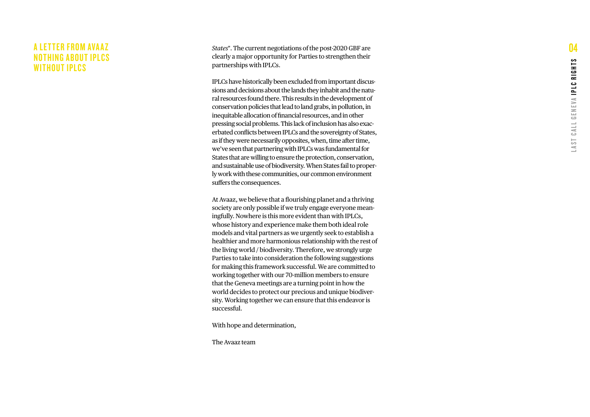#### A LETTER FROM AVAAZ **NOTHING ABOUT IPLCS** WITHOUT IPLCS

*States*". The current negotiations of the post-2020 GBF are clearly a major opportunity for Parties to strengthen their partnerships with IPLCs.

IPLCs have historically been excluded from important discus sions and decisions about the lands they inhabit and the natu ral resources found there. This results in the development of conservation policies that lead to land grabs, in pollution, in inequitable allocation of financial resources, and in other pressing social problems. This lack of inclusion has also exac erbated conflicts between IPLCs and the sovereignty of States, as if they were necessarily opposites, when, time after time, we've seen that partnering with IPLCs was fundamental for States that are willing to ensure the protection, conservation, and sustainable use of biodiversity. When States fail to proper ly work with these communities, our common environment suffers the consequences.

At Avaaz, we believe that a flourishing planet and a thriving society are only possible if we truly engage everyone mean ingfully. Nowhere is this more evident than with IPLCs, whose history and experience make them both ideal role models and vital partners as we urgently seek to establish a healthier and more harmonious relationship with the rest of the living world / biodiversity. Therefore, we strongly urge Parties to take into consideration the following suggestions for making this framework successful. We are committed to working together with our 70-million members to ensure that the Geneva meetings are a turning point in how the world decides to protect our precious and unique biodiver sity. Working together we can ensure that this endeavor is successful.

With hope and determination,

The Avaaz team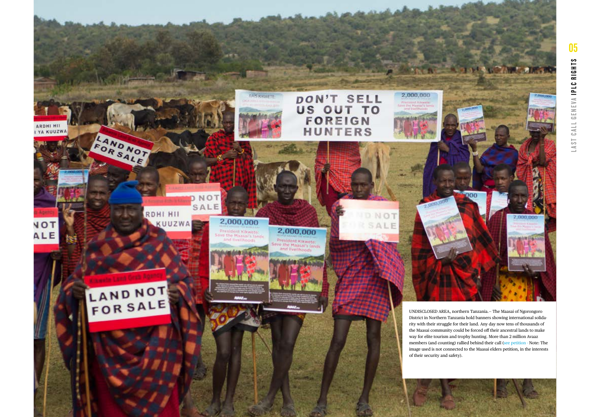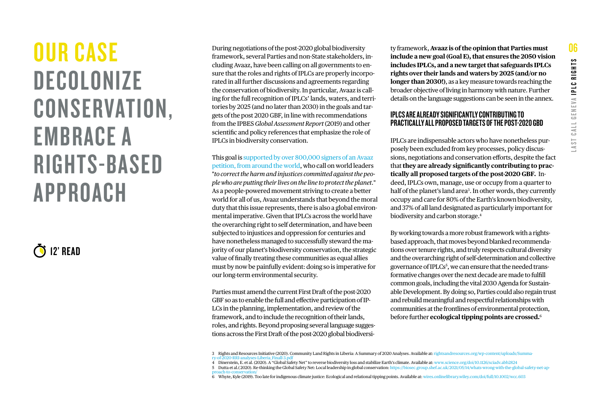## <span id="page-5-0"></span>OUR CASE DECOLONIZE CONSERVATION, EMBRACE A RIGHTS-BASED APPROACH

12' READ

During negotiations of the post-2020 global biodiversity framework, several Parties and non-State stakeholders, including Avaaz, have been calling on all governments to ensure that the roles and rights of IPLCs are properly incorporated in all further discussions and agreements regarding the conservation of biodiversity. In particular, Avaaz is calling for the full recognition of IPLCs' lands, waters, and territories by 2025 (and no later than 2030) in the goals and targets of the post 2020 GBF, in line with recommendations from the IPBES *Global Assessment Report* (2019) and other scientific and policy references that emphasize the role of IPLCs in biodiversity conservation.

Thisgoal is supported by over 800,000 signers of an Avaaz [petition, from around the world](https://secure.avaaz.org/campaign/en/100_indigenous_land_rights_loc/), who call on world leaders "*to correct the harm and injustices committed against the people who are putting their lives on the line to protect the planet.*" As a people-powered movement striving to create a better world for all of us, Avaaz understands that beyond the moral duty that this issue represents, there is also a global environmental imperative. Given that IPLCs across the world have the overarching right to self determination, and have been subjected to injustices and oppression for centuries and have nonetheless managed to successfully steward the majority of our planet's biodiversity conservation, the strategic value of finally treating these communities as equal allies must by now be painfully evident: doing so is imperative for our long-term environmental security.

Parties must amend the current First Draft of the post-2020 GBF so as to enable the full and effective participation of IP-LCs in the planning, implementation, and review of the framework, and to include the recognition of their lands, roles, and rights. Beyond proposing several language suggestions across the First Draft of the post-2020 global biodiversi-

ty framework, **Avaaz is of the opinion that Parties must include a new goal (Goal E), that ensures the 2050 vision includes IPLCs, and a new target that safeguards IPLCs rights over their lands and waters by 2025 (and/or no longer than 2030!)**, as a key measure towards reaching the broader objective of living in harmony with nature. Further details on the language suggestions can be seen in the annex.

#### IPLCS ARE ALREADY SIGNIFICANTLY CONTRIBUTING TO PRACTICALLY ALL PROPOSED TARGETS OF THE POST-2020 GBD

IPLCs are indispensable actors who have nonetheless purposely been excluded from key processes, policy discussions, negotiations and conservation efforts, despite the fact that **they are already significantly contributing to practically all proposed targets of the post-2020 GBF.** Indeed, IPLCs own, manage, use or occupy from a quarter to half of the planet's land area<sup>3</sup>. In other words, they currently occupy and care for 80% of the Earth's known biodiversity, and 37% of all land designated as particularly important for biodiversity and carbon storage.4

By working towards a more robust framework with a rightsbased approach, that moves beyond blanked recommendations over tenure rights, and truly respects cultural diversity and the overarching right of self-determination and collective governance of IPLCs<sup>5</sup>, we can ensure that the needed transformative changes over the next decade are made to fulfill common goals, including the vital 2030 Agenda for Sustainable Development. By doing so, Parties could also regain trust and rebuild meaningful and respectful relationships with communities at the frontlines of environmental protection, before further **ecological tipping points are crossed.**<sup>6</sup>

<sup>3</sup> Rights and Resources Initiative (2020). Community Land Rights in Liberia: A Summary of 2020 Analyses. Available at: [rightsandresources.org/wp-content/uploads/Summa-](https://rightsandresources.org/wp-content/uploads/Summary-of-2020-RRI-analyses-Liberia_Finall-3.pdf)

[ry-of-2020-RRI-analyses-Liberia\\_Finall-3.pdf](https://rightsandresources.org/wp-content/uploads/Summary-of-2020-RRI-analyses-Liberia_Finall-3.pdf)<br>4 Dinerstein, E. et al. (2020). A "Global Safety Net" to reverse biodiversity loss and stabilize Earth's climate. Available at: [www.science.org/doi/10.1126/sciadv.abb2824](https://www.science.org/doi/10.1126/sciadv.abb2824)<br>5

[proach-to-conservation/](https://biosec.group.shef.ac.uk/2021/05/14/whats-wrong-with-the-global-safety-net-approach-to-conservation/)<br>6 Whyte, Kyle (2019). Too late for indigenous climate justice: Ecological and relational tipping points. Available at: [wires.onlinelibrary.wiley.com/doi/full/10.1002/wcc.603](http://wires.onlinelibrary.wiley.com/doi/full/10.1002/wcc.603)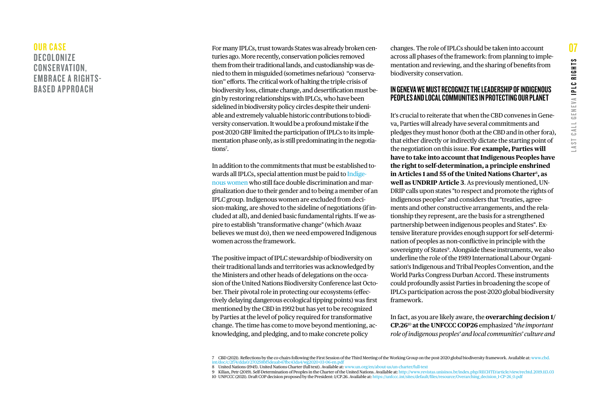#### OUR CASE **DECOLONIZE** CONSERVATION, EMBRACE A RIGHTS-BASED APPROACH

For many IPLCs, trust towards States was already broken centuries ago. More recently, conservation policies removed them from their traditional lands, and custodianship was denied to them in misguided (sometimes nefarious) "conservation" efforts. The critical work of halting the triple crisis of biodiversity loss, climate change, and desertification must begin by restoring relationships with IPLCs, who have been sidelined in biodiversity policy circles despite their undeniable and extremely valuable historic contributions to biodiversity conservation. It would be a profound mistake if the post-2020 GBF limited the participation of IPLCs to its implementation phase only, as is still predominating in the negotiations<sup>7</sup>.

In addition to the commitments that must be established towards all IPLCs, special attention must be paid to [Indige](https://secure.avaaz.org/GVAlastcall_gender)[nous women](https://secure.avaaz.org/GVAlastcall_gender) who still face double discrimination and marginalization due to their gender and to being a member of an IPLC group. Indigenous women are excluded from decision-making, are shoved to the sideline of negotiations (if included at all), and denied basic fundamental rights. If we aspire to establish "transformative change" (which Avaaz believes we must do), then we need empowered Indigenous women across the framework.

The positive impact of IPLC stewardship of biodiversity on their traditional lands and territories was acknowledged by the Ministers and other heads of delegations on the occasion of the United Nations Biodiversity Conference last October. Their pivotal role in protecting our ecosystems (effectively delaying dangerous ecological tipping points) was first mentioned by the CBD in 1992 but has yet to be recognized by Parties at the level of policy required for transformative change. The time has come to move beyond mentioning, acknowledging, and pledging, and to make concrete policy

changes. The role of IPLCs should be taken into account across all phases of the framework: from planning to implementation and reviewing, and the sharing of benefits from biodiversity conservation.

#### IN GENEVA WE MUST RECOGNIZE THE LEADERSHIP OF INDIGENOUS PEOPLES AND LOCAL COMMUNITIES IN PROTECTING OUR PLANET

It's crucial to reiterate that when the CBD convenes in Geneva, Parties will already have several commitments and pledges they must honor (both at the CBD and in other fora), that either directly or indirectly dictate the starting point of the negotiation on this issue. **For example, Parties will have to take into account that Indigenous Peoples have the right to self-determination, a principle enshrined in Articles 1 and 55 of the United Nations Charter**<sup>8</sup> **, as well as UNDRIP Article 3**. As previously mentioned, UN-DRIP calls upon states "to respect and promote the rights of indigenous peoples" and considers that "treaties, agreements and other constructive arrangements, and the relationship they represent, are the basis for a strengthened partnership between indigenous peoples and States". Extensive literature provides enough support for self-determination of peoples as non-conflictive in principle with the sovereignty of States<sup>9</sup>. Alongside these instruments, we also underline the role of the 1989 International Labour Organisation's Indigenous and Tribal Peoples Convention, and the World Parks Congress Durban Accord. These instruments could profoundly assist Parties in broadening the scope of IPLCs participation across the post-2020 global biodiversity framework.

In fact, as you are likely aware, the **overarching decision 1/ CP.26**10 **at the UNFCCC COP26** emphasized "*the important role of indigenous peoples' and local communities' culture and* 

<sup>7</sup> CBD (2021). Reflections by the co-chairs following the First Session of the Third Meeting of the Working Group on the post-2020 global biodiversity framework. Available at: [www.cbd.](https://www.cbd.int/doc/c/2f74/dda0/270258bf5deaab47fbc43da4/wg2020-03-06-en.pdf) [int/doc/c/2f74/dda0/270258bf5deaab47fbc43da4/wg2020-03-06-en.pdf](https://www.cbd.int/doc/c/2f74/dda0/270258bf5deaab47fbc43da4/wg2020-03-06-en.pdf) 8 United Nations (1945). United Nations Charter (full text). Available at: [www.un.org/en/about-us/un-charter/full-text](https://www.un.org/en/about-us/un-charter/full-text) 

<sup>9</sup> Kilian, Petr (2019). Self-Determination of Peoples in the Charter of the United Nations. Available at:<http://www.revistas.unisinos.br/index.php/RECHTD/article/view/rechtd.2019.113.03>

<sup>10</sup> UNFCCC (2021). Draft COP decision proposed by the President: 1/CP.26. Available at: [https://unfccc.int/sites/default/files/resource/Overarching\\_decision\\_1-CP-26\\_0.pdf](https://unfccc.int/sites/default/files/resource/Overarching_decision_1-CP-26_0.pdf)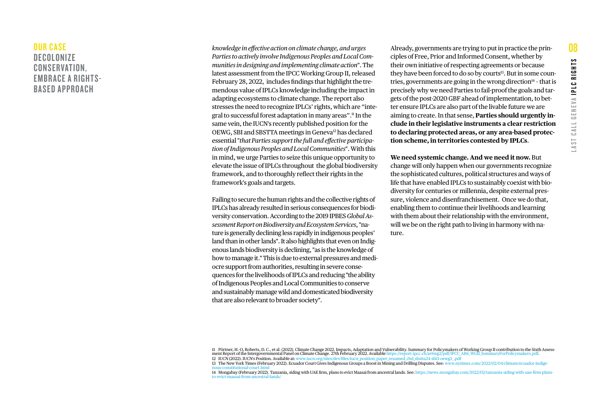#### OUR CASE **DECOLONIZE** CONSERVATION. EMBRACE A RIGHTS-BASED APPROACH

*knowledge in effective action on climate change, and urges Parties to actively involve Indigenous Peoples and Local Communities in designing and implementing climate action*". The latest assessment from the IPCC Working Group II, released February 28, 2022, includes findings that highlight the tremendous value of IPLCs knowledge including the impact in adapting ecosystems to climate change. The report also stresses the need to recognize IPLCs' rights, which are "integral to successful forest adaptation in many areas".11 In the same vein, the IUCN's recently published position for the OEWG, SBI and SBSTTA meetings in Geneva12 has declared essential "*that Parties support the full and effective participation of Indigenous Peoples and Local Communities*". With this in mind, we urge Parties to seize this unique opportunity to elevate the issue of IPLCs throughout the global biodiversity framework, and to thoroughly reflect their rights in the framework's goals and targets.

Failing to secure the human rights and the collective rights of IPLCs has already resulted in serious consequences for biodiversity conservation. According to the 2019 IPBES *Global Assessment Report on Biodiversity and Ecosystem Services*, "nature is generally declining less rapidly in indigenous peoples' land than in other lands". It also highlights that even on Indigenous lands biodiversity is declining, "as is the knowledge of how to manage it." This is due to external pressures and mediocre support from authorities, resulting in severe consequences for the livelihoods of IPLCs and reducing "the ability of Indigenous Peoples and Local Communities to conserve and sustainably manage wild and domesticated biodiversity that are also relevant to broader society".

Already, governments are trying to put in practice the principles of Free, Prior and Informed Consent, whether by their own initiative of respecting agreements or because they have been forced to do so by courts<sup>13</sup>. But in some countries, governments are going in the wrong direction $14$  - that is precisely why we need Parties to fail-proof the goals and targets of the post-2020 GBF ahead of implementation, to better ensure IPLCs are also part of the livable future we are aiming to create. In that sense, **Parties should urgently include in their legislative instruments a clear restriction to declaring protected areas, or any area-based protection scheme, in territories contested by IPLCs**.

**We need systemic change. And we need it now.** But

change will only happen when our governments recognize the sophisticated cultures, political structures and ways of life that have enabled IPLCs to sustainably coexist with biodiversity for centuries or millennia, despite external pressure, violence and disenfranchisement. Once we do that, enabling them to continue their livelihoods and learning with them about their relationship with the environment, will we be on the right path to living in harmony with nature.

<sup>11</sup> Pörtner, H.-O, Roberts, D. C., et al. (2022). Climate Change 2022. Impacts, Adaptation and Vulnerability. Summary for Policymakers of Working Group II contribution to the Sixth Assess-<br>ment Report of the Intergovernment

<sup>13</sup> The New York Times (February 2022). Ecuador Court Gives Indigenous Groups a Boost in Mining and Drilling Disputes. See: [www.nytimes.com/2022/02/04/climate/ecuador-indige-](https://www.nytimes.com/2022/02/04/climate/ecuador-indigenous-constitutional-court.html)

[nous-constitutional-court.html](https://www.nytimes.com/2022/02/04/climate/ecuador-indigenous-constitutional-court.html)<br>14 Mongabay (February 2022). Tanzania, siding with UAE firm, plans to evict Maasai from ancestral lands. See: [https://news.mongabay.com/2022/02/tanzania-siding-with-uae-firm-plans](https://news.mongabay.com/2022/02/tanzania-siding-with-uae-firm-plans-to-evict-maasai-from-ancestral-lands/) $to-evict-m$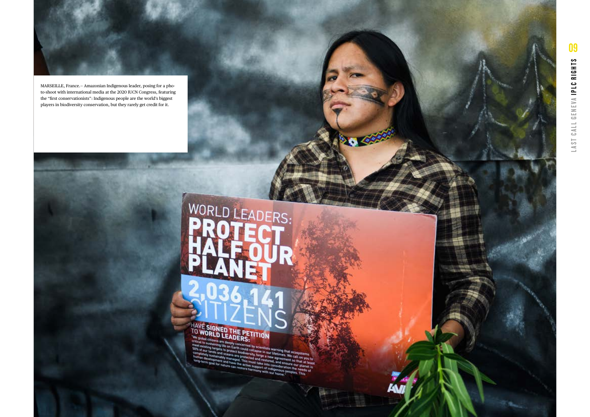

MARSEILLE, France.— Amazonian Indigenous leader, posing for a pho to-shoot with international media at the 2020 IUCN Congress, featuring the "first conservationists": Indigenous people are the world's biggest players in biodiversity conservation, but they rarely get credit for it.

# WORLD LEADERS:

2.45

HAVE SIGNED THE PETITION **CALIST SEADERS:**<br>Wicklessing of despiy concerned by scienting that ecosystems<br>and carried to protect booklessing warming that ecosystems<br>and tames the protect booklessing for our Utellines. We constant<br>the such and oceans

yets to protect biodiversite in our life inst ecosystems.<br>The oceans are protected in our life instructions were call on you<br>inaby managed. This must be reading a new agreement so that at la<br>minute in an apple to the state **The country of the Constitution of the Constitution**<br>Versick, large a new agreement section you to<br>facted and restored, and ensured so that at least<br>it must lake into consule ensure our planes<br>the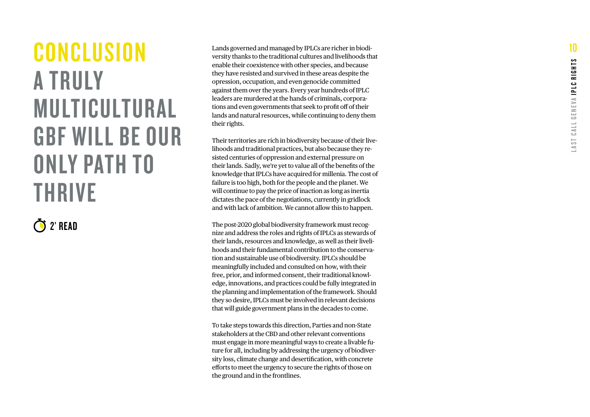## <span id="page-9-0"></span>**CONCLUSION** A TRULY MULTICULTURAL GBF WILL BE OUR ONLY PATH TO THRIVE

2' READ

Lands governed and managed by IPLCs are richer in biodi versity thanks to the traditional cultures and livelihoods that enable their coexistence with other species, and because they have resisted and survived in these areas despite the opression, occupation, and even genocide committed against them over the years. Every year hundreds of IPLC leaders are murdered at the hands of criminals, corpora tions and even governments that seek to profit off of their lands and natural resources, while continuing to deny them their rights.

Their territories are rich in biodiversity because of their live lihoods and traditional practices, but also because they re sisted centuries of oppression and external pressure on their lands. Sadly, we're yet to value all of the benefits of the knowledge that IPLCs have acquired for millenia. The cost of failure is too high, both for the people and the planet. We will continue to pay the price of inaction as long as inertia dictates the pace of the negotiations, currently in gridlock and with lack of ambition. We cannot allow this to happen.

The post-2020 global biodiversity framework must recognize and address the roles and rights of IPLCs as stewards of their lands, resources and knowledge, as well as their liveli hoods and their fundamental contribution to the conserva tion and sustainable use of biodiversity. IPLCs should be meaningfully included and consulted on how, with their free, prior, and informed consent, their traditional knowl edge, innovations, and practices could be fully integrated in the planning and implementation of the framework. Should they so desire, IPLCs must be involved in relevant decisions that will guide government plans in the decades to come.

To take steps towards this direction, Parties and non-State stakeholders at the CBD and other relevant conventions must engage in more meaningful ways to create a livable fu ture for all, including by addressing the urgency of biodiver sity loss, climate change and desertification, with concrete efforts to meet the urgency to secure the rights of those on the ground and in the frontlines.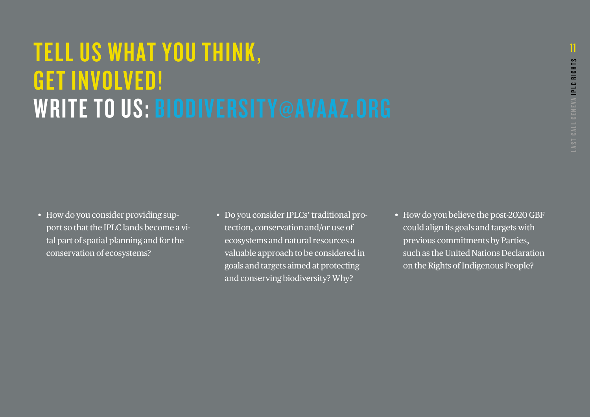## <span id="page-10-0"></span>TELL US WHAT YOU THINK, GET INVOLVED! WRITE TO US: [BIODIVERSITY@AVAAZ.ORG](mailto:biodiversity@avaaz.org)

- How do you consider providing support so that the IPLC lands become a vital part of spatial planning and for the conservation of ecosystems?
- Do you consider IPLCs' traditional protection, conservation and/or use of ecosystems and natural resources a valuable approach to be considered in goals and targets aimed at protecting and conserving biodiversity? Why?
- How do you believe the post-2020 GBF could align its goals and targets with previous commitments by Parties, such as the United Nations Declaration. on the Rights of Indigenous People?

11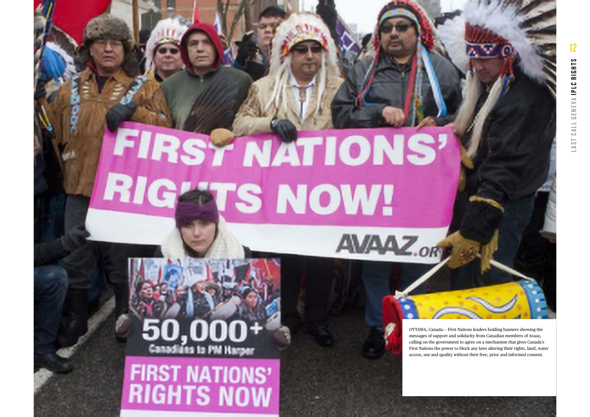# **FIRSY NATIONS** RIG **ETS NOW!**

Canadians to PM Harper

**FIRST NATIONS'**<br>RIGHTS NOW

OTTAWA, Canada.— First Nations leaders holding banners showing the messages of support and solidarity from Canadian members of Avaaz, calling on the government to agree on a mechanism that gives Canada's First Nations the power to block any laws altering their rights, land, water access, use and quality without their free, prior and informed consent.

**AVAAZ.or**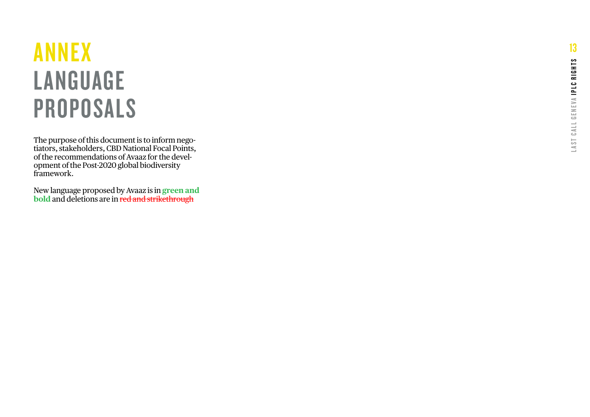# <span id="page-12-0"></span>ANNEX LANGUAGE PROPOSALS

The purpose of this document is to inform nego tiators, stakeholders, CBD National Focal Points, of the recommendations of Avaaz for the devel opment of the Post-2020 global biodiversity framework.

New language proposed by Avaaz is in **green and bold** and deletions are in red and strikethrough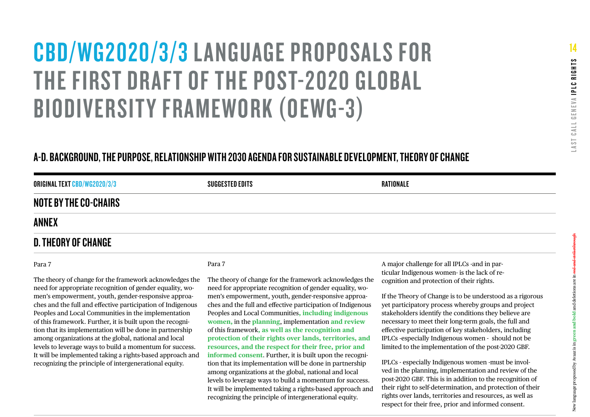# [CBD/WG2020/3/3](https://www.cbd.int/doc/c/914a/eca3/24ad42235033f031badf61b1/wg2020-03-03-en.pdf) LANGUAGE PROPOSALS FOR THE [FIRST DRAFT OF THE POST-2020 GLOBAL](https://www.cbd.int/doc/c/914a/eca3/24ad42235033f031badf61b1/wg2020-03-03-en.pdf)  [BIODIVERSITY FRAMEWORK](https://www.cbd.int/doc/c/914a/eca3/24ad42235033f031badf61b1/wg2020-03-03-en.pdf) (OEWG-3)

### A-D. BACKGROUND, THE PURPOSE, RELATIONSHIP WITH 2030 AGENDA FOR SUSTAINABLE DEVELOPMENT, THEORY OF CHANGE

| <b>ORIGINAL TEXT CBD/WG2020/3/3</b> | SUGGESTED EDITS | RATIONALE |
|-------------------------------------|-----------------|-----------|
| <b>NOTE BY THE CO-CHAIRS</b>        |                 |           |
| <b>ANNEX</b>                        |                 |           |

#### D. THEORY OF CHANGE

#### Para 7

The theory of change for the framework acknowledges the need for appropriate recognition of gender equality, women's empowerment, youth, gender-responsive approaches and the full and effective participation of Indigenous Peoples and Local Communities in the implementation of this framework. Further, it is built upon the recognition that its implementation will be done in partnership among organizations at the global, national and local levels to leverage ways to build a momentum for success. It will be implemented taking a rights-based approach and recognizing the principle of intergenerational equity.

#### Para 7

The theory of change for the framework acknowledges the need for appropriate recognition of gender equality, women's empowerment, youth, gender-responsive approaches and the full and effective participation of Indigenous Peoples and Local Communities**, including indigenous women,** in the **planning**, implementation **and review** of this framework**, as well as the recognition and protection of their rights over lands, territories, and resources, and the respect for their free, prior and informed consent**. Further, it is built upon the recognition that its implementation will be done in partnership among organizations at the global, national and local levels to leverage ways to build a momentum for success. It will be implemented taking a rights-based approach and recognizing the principle of intergenerational equity.

A major challenge for all IPLCs -and in particular Indigenous women- is the lack of recognition and protection of their rights.

If the Theory of Change is to be understood as a rigorous yet participatory process whereby groups and project stakeholders identify the conditions they believe are necessary to meet their long-term goals, the full and effective participation of key stakeholders, including IPLCs -especially Indigenous women - should not be limited to the implementation of the post-2020 GBF.

IPLCs - especially Indigenous women -must be involved in the planning, implementation and review of the post-2020 GBF. This is in addition to the recognition of their right to self-determination, and protection of their rights over lands, territories and resources, as well as respect for their free, prior and informed consent.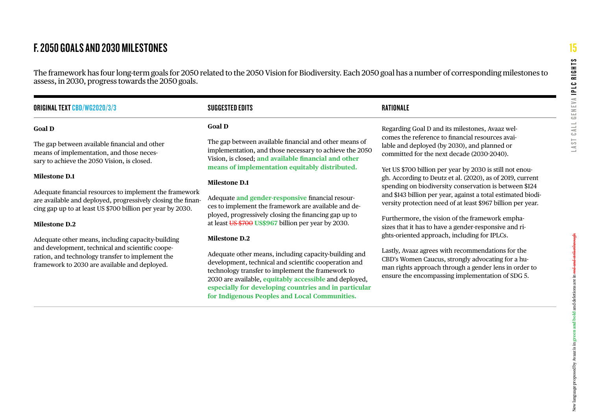## F. 2050 GOALS AND 2030 MILESTONES

The framework has four long-term goals for 2050 related to the 2050 Vision for Biodiversity. Each 2050 goal has a number of corresponding milestones to assess, in 2030, progress towards the 2050 goals.

| <b>ORIGINAL TEXT CBD/WG2020/3/3</b>                                                                                                                                                   | SUGGESTED EDITS                                                                                                                                                                                                                                        | RATIONALE                                                                                                                                                                                                           |
|---------------------------------------------------------------------------------------------------------------------------------------------------------------------------------------|--------------------------------------------------------------------------------------------------------------------------------------------------------------------------------------------------------------------------------------------------------|---------------------------------------------------------------------------------------------------------------------------------------------------------------------------------------------------------------------|
| <b>Goal D</b>                                                                                                                                                                         | <b>Goal D</b>                                                                                                                                                                                                                                          | Regarding Goal D and its milestones, Avaaz wel-                                                                                                                                                                     |
| The gap between available financial and other<br>means of implementation, and those neces-<br>sary to achieve the 2050 Vision, is closed.                                             | The gap between available financial and other means of<br>implementation, and those necessary to achieve the 2050<br>Vision, is closed; and available financial and other                                                                              | comes the reference to financial resources avai-<br>lable and deployed (by 2030), and planned or<br>committed for the next decade (2030-2040).                                                                      |
|                                                                                                                                                                                       | means of implementation equitably distributed.                                                                                                                                                                                                         | Yet US \$700 billion per year by 2030 is still not enou-                                                                                                                                                            |
| <b>Milestone D.1</b>                                                                                                                                                                  | <b>Milestone D.1</b>                                                                                                                                                                                                                                   | gh. According to Deutz et al. (2020), as of 2019, current                                                                                                                                                           |
| Adequate financial resources to implement the framework<br>are available and deployed, progressively closing the finan-<br>cing gap up to at least US \$700 billion per year by 2030. | Adequate and gender-responsive financial resour-<br>ces to implement the framework are available and de-<br>ployed, progressively closing the financing gap up to<br>at least $\overline{US}$ \$700 US\$967 billion per year by 2030.<br>Milestone D.2 | spending on biodiversity conservation is between \$124<br>and \$143 billion per year, against a total estimated biodi-<br>versity protection need of at least \$967 billion per year.                               |
| <b>Milestone D.2</b>                                                                                                                                                                  |                                                                                                                                                                                                                                                        | Furthermore, the vision of the framework empha-<br>sizes that it has to have a gender-responsive and ri-                                                                                                            |
| Adequate other means, including capacity-building                                                                                                                                     |                                                                                                                                                                                                                                                        | ghts-oriented approach, including for IPLCs.                                                                                                                                                                        |
| and development, technical and scientific coope-<br>ration, and technology transfer to implement the<br>framework to 2030 are available and deployed.                                 | Adequate other means, including capacity-building and<br>development, technical and scientific cooperation and<br>technology transfer to implement the framework to<br>2030 are available, equitably accessible and deployed,                          | Lastly, Avaaz agrees with recommendations for the<br>CBD's Women Caucus, strongly advocating for a hu-<br>man rights approach through a gender lens in order to<br>ensure the encompassing implementation of SDG 5. |

**especially for developing countries and in particular for Indigenous Peoples and Local Communities.**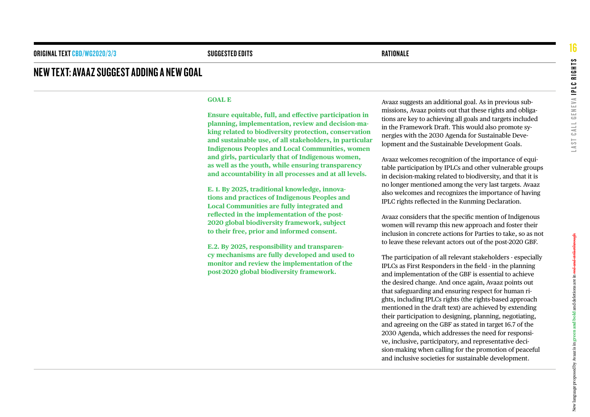#### NEW TEXT: AVAAZ SUGGEST ADDING A NEW GOAL

#### **GOAL E**

**Ensure equitable, full, and effective participation in planning, implementation, review and decision-making related to biodiversity protection, conservation and sustainable use, of all stakeholders, in particular Indigenous Peoples and Local Communities, women and girls, particularly that of Indigenous women, as well as the youth, while ensuring transparency and accountability in all processes and at all levels.**

**E. 1. By 2025, traditional knowledge, innovations and practices of Indigenous Peoples and Local Communities are fully integrated and reflected in the implementation of the post-2020 global biodiversity framework, subject to their free, prior and informed consent.**

**E.2. By 2025, responsibility and transparency mechanisms are fully developed and used to monitor and review the implementation of the post-2020 global biodiversity framework.** 

Avaaz suggests an additional goal. As in previous submissions, Avaaz points out that these rights and obligations are key to achieving all goals and targets included in the Framework Draft. This would also promote synergies with the 2030 Agenda for Sustainable Development and the Sustainable Development Goals.

Avaaz welcomes recognition of the importance of equitable participation by IPLCs and other vulnerable groups in decision-making related to biodiversity, and that it is no longer mentioned among the very last targets. Avaaz also welcomes and recognizes the importance of having IPLC rights reflected in the Kunming Declaration.

Avaaz considers that the specific mention of Indigenous women will revamp this new approach and foster their inclusion in concrete actions for Parties to take, so as not to leave these relevant actors out of the post-2020 GBF.

The participation of all relevant stakeholders - especially IPLCs as First Responders in the field - in the planning and implementation of the GBF is essential to achieve the desired change. And once again, Avaaz points out that safeguarding and ensuring respect for human rights, including IPLCs rights (the rights-based approach mentioned in the draft text) are achieved by extending their participation to designing, planning, negotiating, and agreeing on the GBF as stated in target 16.7 of the 2030 Agenda, which addresses the need for responsive, inclusive, participatory, and representative decision-making when calling for the promotion of peaceful and inclusive societies for sustainable development.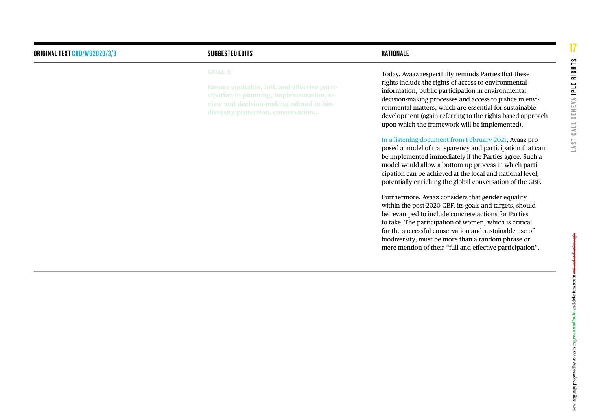#### ORIGINAL TEXT [CBD/WG2020/3/3](https://www.cbd.int/doc/c/914a/eca3/24ad42235033f031badf61b1/wg2020-03-03-en.pdf) and the suggest of the suggest edits of the suggest of the suggest of the suggest of the suggest of the suggest of the suggest of the suggest of the suggest of the suggest of the suggest of the

#### **GOAL E**

**cipation in planning, implementation, re -**

Today, Avaaz respectfully reminds Parties that these rights include the rights of access to environmental information, public participation in environmental decision-making processes and access to justice in envi ronmental matters, which are essential for sustainable development (again referring to the rights-based approach upon which the framework will be implemented).

[In a listening document from February 2021,](https://avaazmedia.s3.amazonaws.com/Avaaz%20Listening%20Document%20%5BCBD%20process%20-%20February%202021%5D.pdf) Avaaz pro posed a model of transparency and participation that can be implemented immediately if the Parties agree. Such a model would allow a bottom-up process in which parti cipation can be achieved at the local and national level, potentially enriching the global conversation of the GBF.

Furthermore, Avaaz considers that gender equality within the post-2020 GBF, its goals and targets, should be revamped to include concrete actions for Parties to take. The participation of women, which is critical for the successful conservation and sustainable use of biodiversity, must be more than a random phrase or mere mention of their "full and effective participation".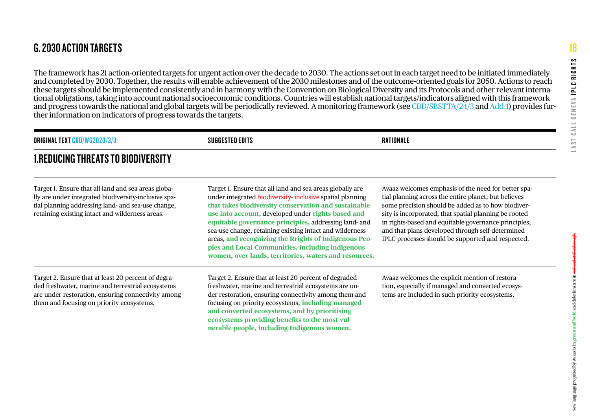The framework has 21 action-oriented targets for urgent action over the decade to 2030. The actions set out in each target need to be initiated immediately and completed by 2030. Together, the results will enable achievement of the 2030 milestones and of the outcome-oriented goals for 2050. Actions to reach these targets should be implemented consistently and in harmony with the Convention on Biological Diversity and its Protocols and other relevant international obligations, taking into account national socioeconomic conditions. Countries will establish national targets/indicators aligned with this framework and progress towards the national and global targets will be periodically reviewed. A monitoring framework (see [CBD/SBSTTA/24/3](https://www.cbd.int/doc/c/705d/6b4b/a1a463c1b19392bde6fa08f3/sbstta-24-03-en.pdf) and [Add.1\)](https://www.cbd.int/doc/c/82d2/cebf/13ebbf343d79abb69ae2119a/sbstta-24-03-add1-en.pdf) provides further information on indicators of progress towards the targets.

| <b>ORIGINAL TEXT CBD/WG2020/3/3</b>                                                                                                                                                                                  | SUGGESTED EDITS                                                                                                                                                                                                                                                                                                                                                                                                                                                                                                                | RATIONALE                                                                                                                                                                                                                                                                                                                                                                                   |  |
|----------------------------------------------------------------------------------------------------------------------------------------------------------------------------------------------------------------------|--------------------------------------------------------------------------------------------------------------------------------------------------------------------------------------------------------------------------------------------------------------------------------------------------------------------------------------------------------------------------------------------------------------------------------------------------------------------------------------------------------------------------------|---------------------------------------------------------------------------------------------------------------------------------------------------------------------------------------------------------------------------------------------------------------------------------------------------------------------------------------------------------------------------------------------|--|
| <b>1.REDUCING THREATS TO BIODIVERSITY</b>                                                                                                                                                                            |                                                                                                                                                                                                                                                                                                                                                                                                                                                                                                                                |                                                                                                                                                                                                                                                                                                                                                                                             |  |
| Target 1. Ensure that all land and sea areas globa-<br>lly are under integrated biodiversity-inclusive spa-<br>tial planning addressing land- and sea-use change,<br>retaining existing intact and wilderness areas. | Target 1. Ensure that all land and sea areas globally are<br>under integrated biodiversity-inclusive spatial planning<br>that takes biodiversity conservation and sustainable<br>use into account, developed under rights-based and<br>equitable governance principles, addressing land- and<br>sea-use change, retaining existing intact and wilderness<br>areas, and recognizing the Rrights of Indigenous Peo-<br>ples and Local Communities, including indigenous<br>women, over lands, territories, waters and resources. | Avaaz welcomes emphasis of the need for better spa-<br>tial planning across the entire planet, but believes<br>some precision should be added as to how biodiver-<br>sity is incorporated, that spatial planning be rooted<br>in rights-based and equitable governance principles,<br>and that plans developed through self-determined<br>IPLC processes should be supported and respected. |  |
| Target 2. Ensure that at least 20 percent of degra-<br>ded freshwater, marine and terrestrial ecosystems<br>are under restoration, ensuring connectivity among<br>them and focusing on priority ecosystems.          | Target 2. Ensure that at least 20 percent of degraded<br>freshwater, marine and terrestrial ecosystems are un-<br>der restoration, ensuring connectivity among them and<br>focusing on priority ecosystems, <i>including managed</i><br>and converted ecosystems, and by prioritising<br>ecosystems providing benefits to the most vul-<br>nerable people, including Indigenous women.                                                                                                                                         | Avaaz welcomes the explicit mention of restora-<br>tion, especially if managed and converted ecosys-<br>tems are included in such priority ecosystems.                                                                                                                                                                                                                                      |  |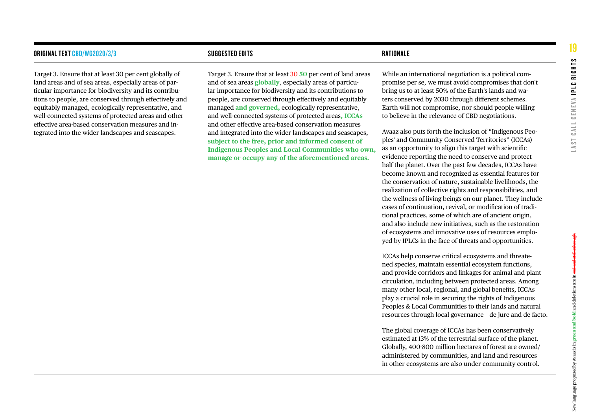#### ORIGINAL TEXT [CBD/WG2020/3/3](https://www.cbd.int/doc/c/914a/eca3/24ad42235033f031badf61b1/wg2020-03-03-en.pdf) SUGGESTED EDITS RATIONALE

Target 3. Ensure that at least 30 per cent globally of land areas and of sea areas, especially areas of particular importance for biodiversity and its contributions to people, are conserved through effectively and equitably managed, ecologically representative, and well-connected systems of protected areas and other effective area-based conservation measures and integrated into the wider landscapes and seascapes.

Target 3. Ensure that at least 30 **50** per cent of land areas and of sea areas **globally**, especially areas of particular importance for biodiversity and its contributions to people, are conserved through effectively and equitably managed **and governed,** ecologically representative, and well-connected systems of protected areas**, ICCAs** and other effective area-based conservation measures and integrated into the wider landscapes and seascapes, **subject to the free, prior and informed consent of Indigenous Peoples and Local Communities who own, manage or occupy any of the aforementioned areas.**

While an international negotiation is a political compromise per se, we must avoid compromises that don't bring us to at least 50% of the Earth's lands and waters conserved by 2030 through different schemes. Earth will not compromise, nor should people willing to believe in the relevance of CBD negotiations.

Avaaz also puts forth the inclusion of "Indigenous Peoples' and Community Conserved Territories" (ICCAs) as an opportunity to align this target with scientific evidence reporting the need to conserve and protect half the planet. Over the past few decades, ICCAs have become known and recognized as essential features for the conservation of nature, sustainable livelihoods, the realization of collective rights and responsibilities, and the wellness of living beings on our planet. They include cases of continuation, revival, or modification of traditional practices, some of which are of ancient origin, and also include new initiatives, such as the restoration of ecosystems and innovative uses of resources employed by IPLCs in the face of threats and opportunities.

ICCAs help conserve critical ecosystems and threatened species, maintain essential ecosystem functions, and provide corridors and linkages for animal and plant circulation, including between protected areas. Among many other local, regional, and global benefits, ICCAs play a crucial role in securing the rights of Indigenous Peoples & Local Communities to their lands and natural resources through local governance – de jure and de facto.

The global coverage of ICCAs has been conservatively estimated at 13% of the terrestrial surface of the planet. Globally, 400-800 million hectares of forest are owned/ administered by communities, and land and resources in other ecosystems are also under community control.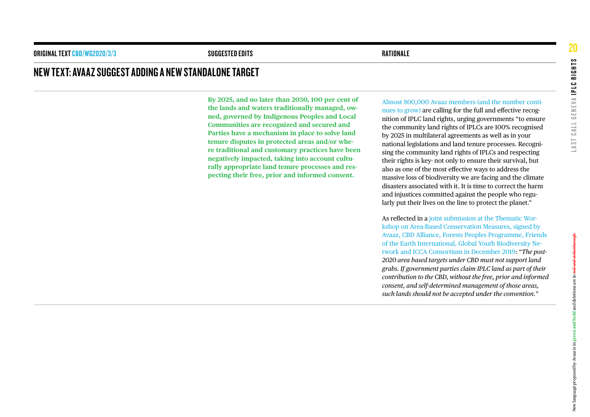#### NEW TEXT: AVAAZ SUGGEST ADDING A NEW STANDALONE TARGET

**By 2025, and no later than 2030, 100 per cent of the lands and waters traditionally managed, owned, governed by Indigenous Peoples and Local Communities are recognized and secured and Parties have a mechanism in place to solve land tenure disputes in protected areas and/or where traditional and customary practices have been negatively impacted, taking into account culturally appropriate land tenure processes and respecting their free, prior and informed consent.**

[Almost 800,000 Avaaz members \(and the number conti](https://secure.avaaz.org/campaign/en/100_indigenous_land_rights_loc/)[nues to grow\)](https://secure.avaaz.org/campaign/en/100_indigenous_land_rights_loc/) are calling for the full and effective recognition of IPLC land rights, urging governments "to ensure the community land rights of IPLCs are 100% recognised by 2025 in multilateral agreements as well as in your national legislations and land tenure processes. Recognising the community land rights of IPLCs and respecting their rights is key- not only to ensure their survival, but also as one of the most effective ways to address the massive loss of biodiversity we are facing and the climate disasters associated with it. It is time to correct the harm and injustices committed against the people who regularly put their lives on the line to protect the planet."

As reflected in a [joint submission at the Thematic Wor](http://cbd-alliance.org/sites/default/files/documents/Report%20ABCM%202019.pdf)[kshop on Area-Based Conservation Measures, signed by](http://cbd-alliance.org/sites/default/files/documents/Report%20ABCM%202019.pdf)  [Avaaz, CBD Alliance, Forests Peoples Programme, Friends](http://cbd-alliance.org/sites/default/files/documents/Report%20ABCM%202019.pdf)  [of the Earth International, Global Youth Biodiversity Ne](http://cbd-alliance.org/sites/default/files/documents/Report%20ABCM%202019.pdf)[twork and ICCA Consortium in December 2019](http://cbd-alliance.org/sites/default/files/documents/Report%20ABCM%202019.pdf): "*The post-2020 area based targets under CBD must not support land grabs. If government parties claim IPLC land as part of their contribution to the CBD, without the free, prior and informed consent, and self-determined management of those areas, such lands should not be accepted under the convention.*"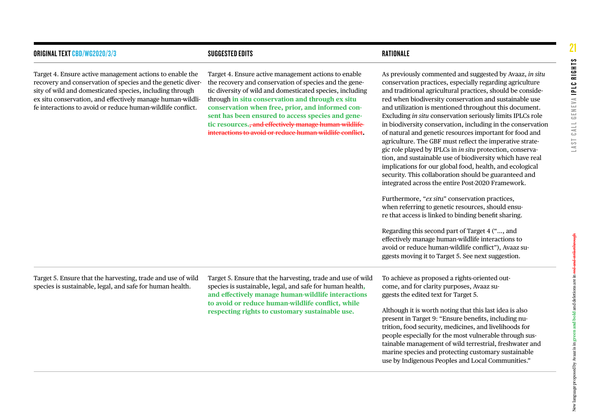| ORIGINAL TEXT <mark>CBD</mark> /WG2020/3/3                                                                                                                                                                                                                                                                       | <b>SUGGESTED EDITS</b>                                                                                                                                                                                                                                                                                                                                                                                                                                        | RATIONALE                                                                                                                                                                                                                                                                                                                                                                                                                                                                                                                                                                                                                                                                                                                                                                                                                                                                                                                                                                                                                                                                                                                                                                                                                                         |
|------------------------------------------------------------------------------------------------------------------------------------------------------------------------------------------------------------------------------------------------------------------------------------------------------------------|---------------------------------------------------------------------------------------------------------------------------------------------------------------------------------------------------------------------------------------------------------------------------------------------------------------------------------------------------------------------------------------------------------------------------------------------------------------|---------------------------------------------------------------------------------------------------------------------------------------------------------------------------------------------------------------------------------------------------------------------------------------------------------------------------------------------------------------------------------------------------------------------------------------------------------------------------------------------------------------------------------------------------------------------------------------------------------------------------------------------------------------------------------------------------------------------------------------------------------------------------------------------------------------------------------------------------------------------------------------------------------------------------------------------------------------------------------------------------------------------------------------------------------------------------------------------------------------------------------------------------------------------------------------------------------------------------------------------------|
| Target 4. Ensure active management actions to enable the<br>recovery and conservation of species and the genetic diver-<br>sity of wild and domesticated species, including through<br>ex situ conservation, and effectively manage human-wildli-<br>fe interactions to avoid or reduce human-wildlife conflict. | Target 4. Ensure active management actions to enable<br>the recovery and conservation of species and the gene-<br>tic diversity of wild and domesticated species, including<br>through in situ conservation and through ex situ<br>conservation when free, prior, and informed con-<br>sent has been ensured to access species and gene-<br>tic resources., and effectively manage human-wildlife<br>interactions to avoid or reduce human-wildlife conflict. | As previously commented and suggested by Avaaz, in situ<br>conservation practices, especially regarding agriculture<br>and traditional agricultural practices, should be conside-<br>red when biodiversity conservation and sustainable use<br>and utilization is mentioned throughout this document.<br>Excluding in situ conservation seriously limits IPLCs role<br>in biodiversity conservation, including in the conservation<br>of natural and genetic resources important for food and<br>agriculture. The GBF must reflect the imperative strate-<br>gic role played by IPLCs in in situ protection, conserva-<br>tion, and sustainable use of biodiversity which have real<br>implications for our global food, health, and ecological<br>security. This collaboration should be guaranteed and<br>integrated across the entire Post-2020 Framework.<br>Furthermore, "ex situ" conservation practices,<br>when referring to genetic resources, should ensu-<br>re that access is linked to binding benefit sharing.<br>Regarding this second part of Target 4 (", and<br>effectively manage human-wildlife interactions to<br>avoid or reduce human-wildlife conflict"), Avaaz su-<br>ggests moving it to Target 5. See next suggestion. |
|                                                                                                                                                                                                                                                                                                                  |                                                                                                                                                                                                                                                                                                                                                                                                                                                               |                                                                                                                                                                                                                                                                                                                                                                                                                                                                                                                                                                                                                                                                                                                                                                                                                                                                                                                                                                                                                                                                                                                                                                                                                                                   |

Target 5. Ensure that the harvesting, trade and use of wild species is sustainable, legal, and safe for human health.

Target 5. Ensure that the harvesting, trade and use of wild species is sustainable, legal, and safe for human health**, and effectively manage human-wildlife interactions to avoid or reduce human-wildlife conflict, while respecting rights to customary sustainable use.**

To achieve as proposed a rights-oriented outcome, and for clarity purposes, Avaaz suggests the edited text for Target 5.

Although it is worth noting that this last idea is also present in Target 9: "Ensure benefits, including nutrition, food security, medicines, and livelihoods for people especially for the most vulnerable through sustainable management of wild terrestrial, freshwater and marine species and protecting customary sustainable use by Indigenous Peoples and Local Communities."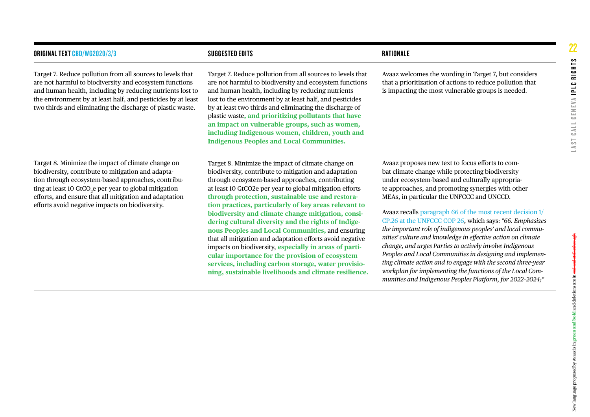| <b>ORIGINAL TEXT CBD/WG2020/3/3</b>                                                                                                                                                                                                                                                                                                               | <b>SUGGESTED EDITS</b>                                                                                                                                                                                                                                                                                                                                                                                                                                                                                                                                                                                                                                                                                                                                                                              | RATIONALE                                                                                                                                                                                                                                                                                                                                                                                                                                                                                                                                                                                                                                                                                                                                                                                                                         |  |  |
|---------------------------------------------------------------------------------------------------------------------------------------------------------------------------------------------------------------------------------------------------------------------------------------------------------------------------------------------------|-----------------------------------------------------------------------------------------------------------------------------------------------------------------------------------------------------------------------------------------------------------------------------------------------------------------------------------------------------------------------------------------------------------------------------------------------------------------------------------------------------------------------------------------------------------------------------------------------------------------------------------------------------------------------------------------------------------------------------------------------------------------------------------------------------|-----------------------------------------------------------------------------------------------------------------------------------------------------------------------------------------------------------------------------------------------------------------------------------------------------------------------------------------------------------------------------------------------------------------------------------------------------------------------------------------------------------------------------------------------------------------------------------------------------------------------------------------------------------------------------------------------------------------------------------------------------------------------------------------------------------------------------------|--|--|
| Target 7. Reduce pollution from all sources to levels that<br>are not harmful to biodiversity and ecosystem functions<br>and human health, including by reducing nutrients lost to<br>the environment by at least half, and pesticides by at least<br>two thirds and eliminating the discharge of plastic waste.                                  | Target 7. Reduce pollution from all sources to levels that<br>are not harmful to biodiversity and ecosystem functions<br>and human health, including by reducing nutrients<br>lost to the environment by at least half, and pesticides<br>by at least two thirds and eliminating the discharge of<br>plastic waste, and prioritizing pollutants that have<br>an impact on vulnerable groups, such as women,<br>including Indigenous women, children, youth and<br><b>Indigenous Peoples and Local Communities.</b>                                                                                                                                                                                                                                                                                  | Avaaz welcomes the wording in Target 7, but considers<br>that a prioritization of actions to reduce pollution that<br>is impacting the most vulnerable groups is needed.                                                                                                                                                                                                                                                                                                                                                                                                                                                                                                                                                                                                                                                          |  |  |
| Target 8. Minimize the impact of climate change on<br>biodiversity, contribute to mitigation and adapta-<br>tion through ecosystem-based approaches, contribu-<br>ting at least 10 GtCO <sub>2</sub> e per year to global mitigation<br>efforts, and ensure that all mitigation and adaptation<br>efforts avoid negative impacts on biodiversity. | Target 8. Minimize the impact of climate change on<br>biodiversity, contribute to mitigation and adaptation<br>through ecosystem-based approaches, contributing<br>at least 10 GtCO2e per year to global mitigation efforts<br>through protection, sustainable use and restora-<br>tion practices, particularly of key areas relevant to<br>biodiversity and climate change mitigation, consi-<br>dering cultural diversity and the rights of Indige-<br>nous Peoples and Local Communities, and ensuring<br>that all mitigation and adaptation efforts avoid negative<br>impacts on biodiversity, especially in areas of parti-<br>cular importance for the provision of ecosystem<br>services, including carbon storage, water provisio-<br>ning, sustainable livelihoods and climate resilience. | Avaaz proposes new text to focus efforts to com-<br>bat climate change while protecting biodiversity<br>under ecosystem-based and culturally appropria-<br>te approaches, and promoting synergies with other<br>MEAs, in particular the UNFCCC and UNCCD.<br>Avaaz recalls paragraph 66 of the most recent decision 1/<br>CP.26 at the UNFCCC COP 26, which says: "66. Emphasizes<br>the important role of indigenous peoples' and local commu-<br>nities' culture and knowledge in effective action on climate<br>change, and urges Parties to actively involve Indigenous<br>Peoples and Local Communities in designing and implemen-<br>ting climate action and to engage with the second three-year<br>workplan for implementing the functions of the Local Com-<br>munities and Indigenous Peoples Platform, for 2022-2024;" |  |  |

铺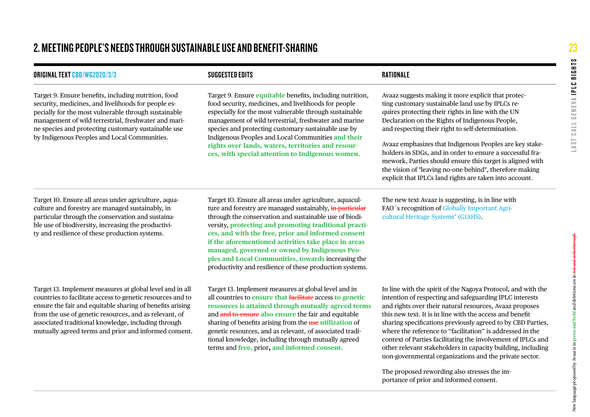## 2. MEETING PEOPLE'S NEEDS THROUGH SUSTAINABLE USE AND BENEFIT-SHARING

| <b>ORIGINAL TEXT CBD/WG2020/3/3</b>                                                                                                                                                                                                                                                                                                                           | <b>SUGGESTED EDITS</b>                                                                                                                                                                                                                                                                                                                                                                                                                                                                                                  | <b>RATIONALE</b>                                                                                                                                                                                                                                                                                                                                                                                                                                                                                                                                                                 |
|---------------------------------------------------------------------------------------------------------------------------------------------------------------------------------------------------------------------------------------------------------------------------------------------------------------------------------------------------------------|-------------------------------------------------------------------------------------------------------------------------------------------------------------------------------------------------------------------------------------------------------------------------------------------------------------------------------------------------------------------------------------------------------------------------------------------------------------------------------------------------------------------------|----------------------------------------------------------------------------------------------------------------------------------------------------------------------------------------------------------------------------------------------------------------------------------------------------------------------------------------------------------------------------------------------------------------------------------------------------------------------------------------------------------------------------------------------------------------------------------|
| Target 9. Ensure benefits, including nutrition, food<br>security, medicines, and livelihoods for people es-<br>pecially for the most vulnerable through sustainable<br>management of wild terrestrial, freshwater and mari-<br>ne species and protecting customary sustainable use<br>by Indigenous Peoples and Local Communities.                            | Target 9. Ensure <i>equitable</i> benefits, including nutrition,<br>food security, medicines, and livelihoods for people<br>especially for the most vulnerable through sustainable<br>management of wild terrestrial, freshwater and marine<br>species and protecting customary sustainable use by<br>Indigenous Peoples and Local Communities and their<br>rights over lands, waters, territories and resour-<br>ces, with special attention to Indigenous women.                                                      | Avaaz suggests making it more explicit that protec-<br>ting customary sustainable land use by IPLCs re-<br>quires protecting their rights in line with the UN<br>Declaration on the Rights of Indigenous People,<br>and respecting their right to self-determination.<br>Avaaz emphasizes that Indigenous Peoples are key stake-<br>holders in SDGs, and in order to ensure a successful fra-<br>mework, Parties should ensure this target is aligned with<br>the vision of "leaving no-one behind", therefore making<br>explicit that IPLCs land rights are taken into account. |
| Target 10. Ensure all areas under agriculture, aqua-<br>culture and forestry are managed sustainably, in<br>particular through the conservation and sustaina-<br>ble use of biodiversity, increasing the productivi-<br>ty and resilience of these production systems.                                                                                        | Target 10. Ensure all areas under agriculture, aquacul-<br>ture and forestry are managed sustainably, in particular<br>through the conservation and sustainable use of biodi-<br>versity, protecting and promoting traditional practi-<br>ces, and with the free, prior and informed consent<br>if the aforementioned activities take place in areas<br>managed, governed or owned by Indigenous Peo-<br>ples and Local Communities, towards increasing the<br>productivity and resilience of these production systems. | The new text Avaaz is suggesting, is in line with<br>FAO's recognition of Globally Important Agri-<br>cultural Heritage Systems" (GIAHS).                                                                                                                                                                                                                                                                                                                                                                                                                                        |
| Target 13. Implement measures at global level and in all<br>countries to facilitate access to genetic resources and to<br>ensure the fair and equitable sharing of benefits arising<br>from the use of genetic resources, and as relevant, of<br>associated traditional knowledge, including through<br>mutually agreed terms and prior and informed consent. | Target 13. Implement measures at global level and in<br>all countries to ensure that facilitate access to genetic<br>resources is attained through mutually agreed terms<br>and and to ensure also ensure the fair and equitable<br>sharing of benefits arising from the use utilization of<br>genetic resources, and as relevant, of associated tradi-<br>tional knowledge, including through mutually agreed<br>terms and free, prior, and informed consent.                                                          | In line with the spirit of the Nagoya Protocol, and with the<br>intention of respecting and safeguarding IPLC interests<br>and rights over their natural resources, Avaaz proposes<br>this new text. It is in line with the access and benefit<br>sharing specifications previously agreed to by CBD Parties,<br>where the reference to "facilitation" is addressed in the<br>context of Parties facilitating the involvement of IPLCs and<br>other relevant stakeholders in capacity building, including<br>non-governmental organizations and the private sector.              |

The proposed rewording also stresses the importance of prior and informed consent.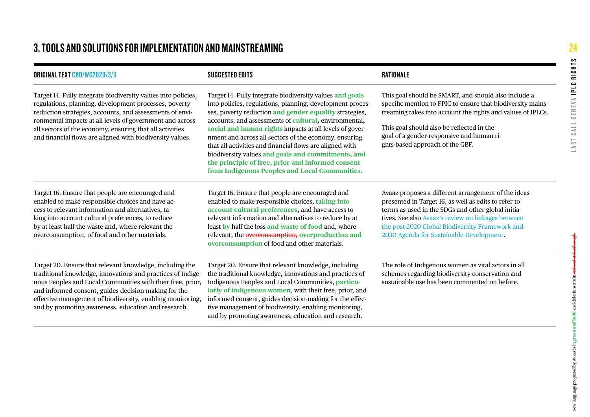## 3. TOOLS AND SOLUTIONS FOR IMPLEMENTATION AND MAINSTREAMING

| <b>ORIGINAL TEXT CBD/WG2020/3/3</b>                                                                                                                                                                                                                                                                                                                                     | <b>SUGGESTED EDITS</b>                                                                                                                                                                                                                                                                                                                                                                                                                                                                                                                                                                | RATIONALE                                                                                                                                                                                                                                                                                                              |  |  |
|-------------------------------------------------------------------------------------------------------------------------------------------------------------------------------------------------------------------------------------------------------------------------------------------------------------------------------------------------------------------------|---------------------------------------------------------------------------------------------------------------------------------------------------------------------------------------------------------------------------------------------------------------------------------------------------------------------------------------------------------------------------------------------------------------------------------------------------------------------------------------------------------------------------------------------------------------------------------------|------------------------------------------------------------------------------------------------------------------------------------------------------------------------------------------------------------------------------------------------------------------------------------------------------------------------|--|--|
| Target 14. Fully integrate biodiversity values into policies,<br>regulations, planning, development processes, poverty<br>reduction strategies, accounts, and assessments of envi-<br>ronmental impacts at all levels of government and across<br>all sectors of the economy, ensuring that all activities<br>and financial flows are aligned with biodiversity values. | Target 14. Fully integrate biodiversity values and goals<br>into policies, regulations, planning, development proces-<br>ses, poverty reduction and gender equality strategies,<br>accounts, and assessments of cultural, environmental,<br>social and human rights impacts at all levels of gover-<br>nment and across all sectors of the economy, ensuring<br>that all activities and financial flows are aligned with<br>biodiversity values and goals and commitments, and<br>the principle of free, prior and informed consent<br>from Indigenous Peoples and Local Communities. | This goal should be SMART, and should also include a<br>specific mention to FPIC to ensure that biodiversity mains-<br>treaming takes into account the rights and values of IPLCs.<br>This goal should also be reflected in the<br>goal of a gender-responsive and human ri-<br>ghts-based approach of the GBF.        |  |  |
| Target 16. Ensure that people are encouraged and<br>enabled to make responsible choices and have ac-<br>cess to relevant information and alternatives, ta-<br>king into account cultural preferences, to reduce<br>by at least half the waste and, where relevant the<br>overconsumption, of food and other materials.                                                  | Target 16. Ensure that people are encouraged and<br>enabled to make responsible choices, taking into<br>account cultural preferences, and have access to<br>relevant information and alternatives to reduce by at<br>least by half the loss and waste of food and, where<br>relevant, the overconsumption, overproduction and<br>overconsumption of food and other materials.                                                                                                                                                                                                         | Avaaz proposes a different arrangement of the ideas<br>presented in Target 16, as well as edits to refer to<br>terms as used in the SDGs and other global initia-<br>tives. See also Avaaz's review on linkages between<br>the post-2020 Global Biodiversity Framework and<br>2030 Agenda for Sustainable Development. |  |  |
| Target 20. Ensure that relevant knowledge, including the<br>traditional knowledge, innovations and practices of Indige-<br>nous Peoples and Local Communities with their free, prior,<br>and informed consent, guides decision-making for the<br>effective management of biodiversity, enabling monitoring,<br>and by promoting awareness, education and research.      | Target 20. Ensure that relevant knowledge, including<br>the traditional knowledge, innovations and practices of<br>Indigenous Peoples and Local Communities, particu-<br>larly of indigenous women, with their free, prior, and<br>informed consent, guides decision-making for the effec-<br>tive management of biodiversity, enabling monitoring,<br>and by promoting awareness, education and research.                                                                                                                                                                            | The role of Indigenous women as vital actors in all<br>schemes regarding biodiversity conservation and<br>sustainable use has been commented on before.                                                                                                                                                                |  |  |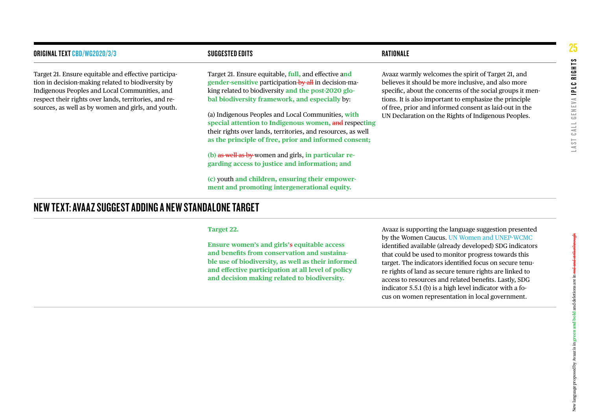| <b>ORIGINAL TEXT CBD/WG2020/3/3</b>                                                                                                                                                                                                                                        | <b>SUGGESTED EDITS</b>                                                                                                                                                                                                                                                                                                                                                                                                                                                                                                                                                                                                                                                      | RATIONALE                                                                                                                                                                                                                                                                                                                                         |
|----------------------------------------------------------------------------------------------------------------------------------------------------------------------------------------------------------------------------------------------------------------------------|-----------------------------------------------------------------------------------------------------------------------------------------------------------------------------------------------------------------------------------------------------------------------------------------------------------------------------------------------------------------------------------------------------------------------------------------------------------------------------------------------------------------------------------------------------------------------------------------------------------------------------------------------------------------------------|---------------------------------------------------------------------------------------------------------------------------------------------------------------------------------------------------------------------------------------------------------------------------------------------------------------------------------------------------|
| Target 21. Ensure equitable and effective participa-<br>tion in decision-making related to biodiversity by<br>Indigenous Peoples and Local Communities, and<br>respect their rights over lands, territories, and re-<br>sources, as well as by women and girls, and youth. | Target 21. Ensure equitable, full, and effective and<br>gender-sensitive participation by all in decision-ma-<br>king related to biodiversity and the post-2020 glo-<br>bal biodiversity framework, and especially by:<br>(a) Indigenous Peoples and Local Communities, with<br>special attention to Indigenous women, and respecting<br>their rights over lands, territories, and resources, as well<br>as the principle of free, prior and informed consent;<br>(b) as well as by women and girls, in particular re-<br>garding access to justice and information; and<br>(c) youth and children, ensuring their empower-<br>ment and promoting intergenerational equity. | Avaaz warmly welcomes the spirit of Target 21, and<br>believes it should be more inclusive, and also more<br>specific, about the concerns of the social groups it men-<br>tions. It is also important to emphasize the principle<br>of free, prior and informed consent as laid-out in the<br>UN Declaration on the Rights of Indigenous Peoples. |
| NEW TEXT: AVAAZ SUGGEST ADDING A NEW STANDALONE TARGET                                                                                                                                                                                                                     |                                                                                                                                                                                                                                                                                                                                                                                                                                                                                                                                                                                                                                                                             |                                                                                                                                                                                                                                                                                                                                                   |

#### **Target 22.**

**Ensure women's and girls'**s **equitable access and benefits from conservation and sustainable use of biodiversity, as well as their informed and effective participation at all level of policy and decision making related to biodiversity.**

Avaaz is supporting the language suggestion presented by the Women Caucus. [UN Women and UNEP-WCMC](https://unemg.org/wp-content/uploads/2021/03/Post-2020_UNEP-WCMC_UN_Women_integrating-a-gender-perspective-issues_brief.pdf) identified available (already developed) SDG indicators that could be used to monitor progress towards this target. The indicators identified focus on secure tenure rights of land as secure tenure rights are linked to access to resources and related benefits. Lastly, SDG indicator 5.5.1 (b) is a high level indicator with a focus on women representation in local government.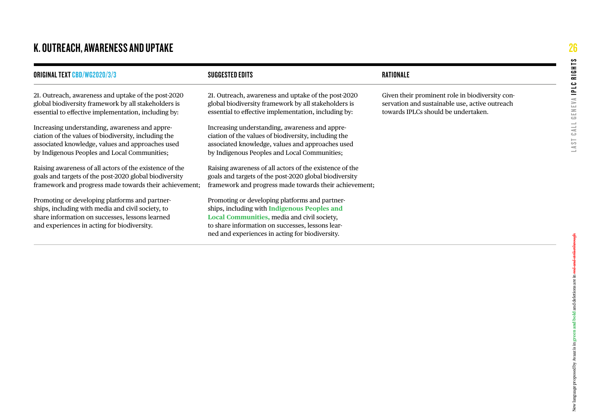## K. OUTREACH, AWARENESS AND UPTAKE

| <b>ORIGINAL TEXT CBD/WG2020/3/3</b>                                                                                                                                                                        | SUGGESTED EDITS                                                                                                                                                                                                                                             | RATIONALE                                                                                                                                |
|------------------------------------------------------------------------------------------------------------------------------------------------------------------------------------------------------------|-------------------------------------------------------------------------------------------------------------------------------------------------------------------------------------------------------------------------------------------------------------|------------------------------------------------------------------------------------------------------------------------------------------|
| 21. Outreach, awareness and uptake of the post-2020<br>global biodiversity framework by all stakeholders is<br>essential to effective implementation, including by:                                        | 21. Outreach, awareness and uptake of the post-2020<br>global biodiversity framework by all stakeholders is<br>essential to effective implementation, including by:                                                                                         | Given their prominent role in biodiversity con-<br>servation and sustainable use, active outreach<br>towards IPLCs should be undertaken. |
| Increasing understanding, awareness and appre-<br>ciation of the values of biodiversity, including the<br>associated knowledge, values and approaches used<br>by Indigenous Peoples and Local Communities; | Increasing understanding, awareness and appre-<br>ciation of the values of biodiversity, including the<br>associated knowledge, values and approaches used<br>by Indigenous Peoples and Local Communities;                                                  |                                                                                                                                          |
| Raising awareness of all actors of the existence of the<br>goals and targets of the post-2020 global biodiversity<br>framework and progress made towards their achievement;                                | Raising awareness of all actors of the existence of the<br>goals and targets of the post-2020 global biodiversity<br>framework and progress made towards their achievement;                                                                                 |                                                                                                                                          |
| Promoting or developing platforms and partner-<br>ships, including with media and civil society, to<br>share information on successes, lessons learned<br>and experiences in acting for biodiversity.      | Promoting or developing platforms and partner-<br>ships, including with <b>Indigenous Peoples and</b><br>Local Communities, media and civil society,<br>to share information on successes, lessons lear-<br>ned and experiences in acting for biodiversity. |                                                                                                                                          |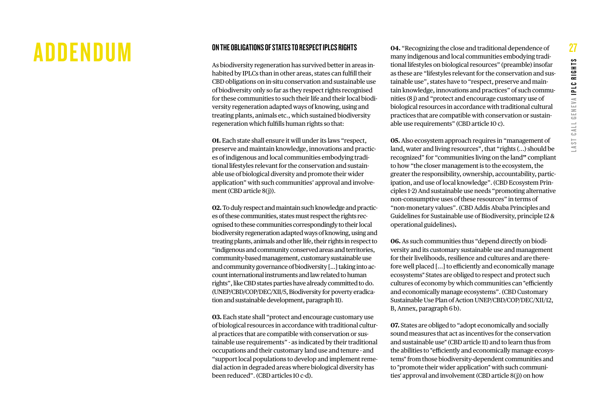# <span id="page-26-0"></span>ADDENDUM <sup>ON THE OBLIGATIONS OF STATES TO RESPECT IPLCS RIGHTS</sup>

As biodiversity regeneration has survived better in areas inhabited by IPLCs than in other areas, states can fulfill their CBD obligations on in-situ conservation and sustainable use of biodiversity only so far as they respect rights recognised for these communities to such their life and their local biodiversity regeneration adapted ways of knowing, using and treating plants, animals etc., which sustained biodiversity regeneration which fulfills human rights so that:

**01.** Each state shall ensure it will under its laws "respect, preserve and maintain knowledge, innovations and practices of indigenous and local communities embodying traditional lifestyles relevant for the conservation and sustainable use of biological diversity and promote their wider application" with such communities' approval and involvement (CBD article 8(j)).

**02.** To duly respect and maintain such knowledge and practices of these communities, states must respect the rights recognised to these communities correspondingly to their local biodiversity regeneration adapted ways of knowing, using and treating plants, animals and other life, their rights in respect to "indigenous and community conserved areas and territories, community-based management, customary sustainable use and community governance of biodiversity [...] taking into account international instruments and law related to human rights", like CBD states parties have already committed to do. (UNEP/CBD/COP/DEC/XII/5, Biodiversity for poverty eradication and sustainable development, paragraph 11).

**03.** Each state shall "protect and encourage customary use of biological resources in accordance with traditional cultural practices that are compatible with conservation or sustainable use requirements" - as indicated by their traditional occupations and their customary land use and tenure - and "support local populations to develop and implement remedial action in degraded areas where biological diversity has been reduced". (CBD articles 10 c-d).

**04.** "Recognizing the close and traditional dependence of many indigenous and local communities embodying traditional lifestyles on biological resources" (preamble) insofar as these are "lifestyles relevant for the conservation and sustainable use", states have to "respect, preserve and maintain knowledge, innovations and practices" of such communities (8 j) and "protect and encourage customary use of biological resources in accordance with traditional cultural practices that are compatible with conservation or sustainable use requirements" (CBD article 10 c).

**05.** Also ecosystem approach requires in "management of land, water and living resources", that "rights (...) should be recognized" for "communities living on the land**"** compliant to how "the closer management is to the ecosystem, the greater the responsibility, ownership, accountability, participation, and use of local knowledge". (CBD Ecosystem Principles 1-2) And sustainable use needs "promoting alternative non-consumptive uses of these resources" in terms of "non-monetary values". (CBD Addis Ababa Principles and Guidelines for Sustainable use of Biodiversity, principle 12 & operational guidelines)**.**

**06.** As such communities thus "depend directly on biodiversity and its customary sustainable use and management for their livelihoods, resilience and cultures and are therefore well placed [...] to efficiently and economically manage ecosystems" States are obliged to respect and protect such cultures of economy by which communities can "efficiently and economically manage ecosystems". (CBD Customary Sustainable Use Plan of Action UNEP/CBD/COP/DEC/XII/12, B, Annex, paragraph 6 b).

**07.** States are obliged to "adopt economically and socially sound measures that act as incentives for the conservation and sustainable use" (CBD article 11) and to learn thus from the abilities to "efficiently and economically manage ecosystems" from those biodiversity-dependent communities and to "promote their wider application" with such communities' approval and involvement (CBD article 8(j)) on how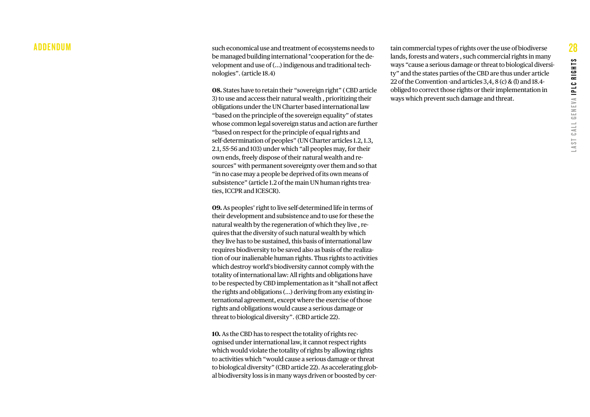#### ADDENDUM

such economical use and treatment of ecosystems needs to be managed building international "cooperation for the de velopment and use of (...) indigenous and traditional tech nologies". (article 18.4)

**08.** States have to retain their "sovereign right" ( CBD article 3) to use and access their natural wealth , prioritizing their obligations under the UN Charter based international law "based on the principle of the sovereign equality" of states whose common legal sovereign status and action are further "based on respect for the principle of equal rights and self-determination of peoples" (UN Charter articles 1.2, 1.3, 2.1, 55-56 and 103) under which "all peoples may, for their own ends, freely dispose of their natural wealth and re sources" with permanent sovereignty over them and so that "in no case may a people be deprived of its own means of subsistence" (article 1.2 of the main UN human rights trea ties, ICCPR and ICESCR).

**09.** As peoples' right to live self-determined life in terms of their development and subsistence and to use for these the natural wealth by the regeneration of which they live , re quires that the diversity of such natural wealth by which they live has to be sustained, this basis of international law requires biodiversity to be saved also as basis of the realiza tion of our inalienable human rights. Thus rights to activities which destroy world's biodiversity cannot comply with the totality of international law: All rights and obligations have to be respected by CBD implementation as it "shall not affect the rights and obligations (...) deriving from any existing in ternational agreement, except where the exercise of those rights and obligations would cause a serious damage or threat to biological diversity". (CBD article 22).

**10.** As the CBD has to respect the totality of rights rec ognised under international law, it cannot respect rights which would violate the totality of rights by allowing rights to activities which "would cause a serious damage or threat to biological diversity" (CBD article 22). As accelerating glob al biodiversity loss is in many ways driven or boosted by cer -

tain commercial types of rights over the use of biodiverse lands, forests and waters , such commercial rights in many ways "cause a serious damage or threat to biological diversi ty" and the states parties of the CBD are thus under article 22 of the Convention -and articles 3,4, 8 (c) & (l) and 18.4 obliged to correct those rights or their implementation in ways which prevent such damage and threat.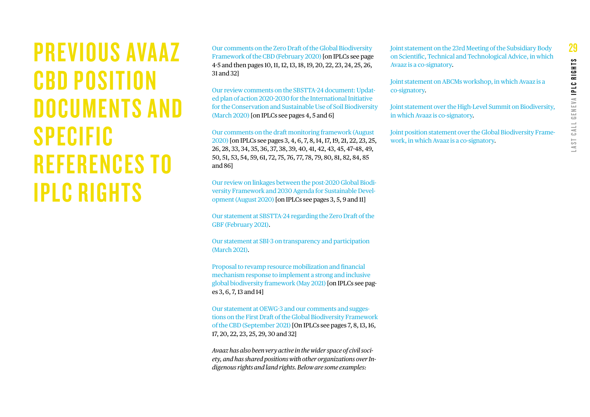<span id="page-28-0"></span>PREVIOUS AVAAZ CBD POSITION DOCUMENTS AND SPECIFIC REFERENCES TO IPLC RIGHTS

[Our comments on the Zero Draft of the Global Biodiversity](https://www.cbd.int/api/v2013/documents/87366F86-8CFB-ECFB-B594-64C9BD63AB6F/attachments/Avaaz-2.pdf)  [Framework of the CBD \(February 2020\)](https://www.cbd.int/api/v2013/documents/87366F86-8CFB-ECFB-B594-64C9BD63AB6F/attachments/Avaaz-2.pdf) [on IPLCs see page 4-5 and then pages 10, 11, 12, 13, 18, 19, 20, 22, 23, 24, 25, 26, 31 and 32]

[Our review comments on the SBSTTA-24 document: Updat](https://avaazmedia.s3.amazonaws.com/SBSTTA%2024%20peer%20review%20-%20Avaaz%20comments%20on%20Updated%20plan%20of%20action%202020-2030%20for%20the%20International%20Initiative%20for%20the%20Conservation%20and%20Sustainable%20Use%20of%20Soil%20Biodiversity.pdf)[ed plan of action 2020-2030 for the International Initiative](https://avaazmedia.s3.amazonaws.com/SBSTTA%2024%20peer%20review%20-%20Avaaz%20comments%20on%20Updated%20plan%20of%20action%202020-2030%20for%20the%20International%20Initiative%20for%20the%20Conservation%20and%20Sustainable%20Use%20of%20Soil%20Biodiversity.pdf)  [for the Conservation and Sustainable Use of Soil Biodiversity](https://avaazmedia.s3.amazonaws.com/SBSTTA%2024%20peer%20review%20-%20Avaaz%20comments%20on%20Updated%20plan%20of%20action%202020-2030%20for%20the%20International%20Initiative%20for%20the%20Conservation%20and%20Sustainable%20Use%20of%20Soil%20Biodiversity.pdf) [\(March 2020\)](https://avaazmedia.s3.amazonaws.com/SBSTTA%2024%20peer%20review%20-%20Avaaz%20comments%20on%20Updated%20plan%20of%20action%202020-2030%20for%20the%20International%20Initiative%20for%20the%20Conservation%20and%20Sustainable%20Use%20of%20Soil%20Biodiversity.pdf) [on IPLCs see pages 4, 5 and 6]

[Our comments on the draft monitoring framework \(August](https://www.cbd.int/api/v2013/documents/ADDD8E4C-3759-0C38-4898-1385FB518A20/attachments/Avaaz(1).pdf)  [2020\)](https://www.cbd.int/api/v2013/documents/ADDD8E4C-3759-0C38-4898-1385FB518A20/attachments/Avaaz(1).pdf) [on IPLCs see pages 3, 4, 6, 7, 8, 14, 17, 19, 21, 22, 23, 25, 26, 28, 33, 34, 35, 36, 37, 38, 39, 40, 41, 42, 43, 45, 47-48, 49, 50, 51, 53, 54, 59, 61, 72, 75, 76, 77, 78, 79, 80, 81, 82, 84, 85 and 86]

[Our review on linkages between the post-2020 Global Biodi](https://www.cbd.int/api/v2013/documents/ADDD8E4C-3759-0C38-4898-1385FB518A20/attachments/Avaaz(2).pdf)[versity Framework and 2030 Agenda for Sustainable Devel](https://www.cbd.int/api/v2013/documents/ADDD8E4C-3759-0C38-4898-1385FB518A20/attachments/Avaaz(2).pdf)[opment \(August 2020\)](https://www.cbd.int/api/v2013/documents/ADDD8E4C-3759-0C38-4898-1385FB518A20/attachments/Avaaz(2).pdf) [on IPLCs see pages 3, 5, 9 and 11]

[Our statement at SBSTTA-24 regarding the Zero Draft of the](https://www.cbd.int/doc/interventions/602d2afcf2686600010f89ae/SBSTTTA-24%20(Avaaz%20statement).pdf)  [GBF \(February 2021\)](https://www.cbd.int/doc/interventions/602d2afcf2686600010f89ae/SBSTTTA-24%20(Avaaz%20statement).pdf).

[Our statement at SBI-3 on transparency and participation](https://www.cbd.int/doc/interventions/604ae75dbe155c00016bdbb6/SBI-3%20Convention%20on%20Biological%20Diversity%20(March%202021)%20I%20Statement%20from%20Avaaz%20on%20transparency%20and%20participation.pdf)  [\(March 2021\)](https://www.cbd.int/doc/interventions/604ae75dbe155c00016bdbb6/SBI-3%20Convention%20on%20Biological%20Diversity%20(March%202021)%20I%20Statement%20from%20Avaaz%20on%20transparency%20and%20participation.pdf).

[Proposal to revamp resource mobilization and financial](https://www.cbd.int/doc/interventions/60a0762d84af93000140c427/Avaaz%20statement%20SBI%203%20-%20Agenda%20items%205-6%20(May%202021).pdf)  [mechanism response to implement a strong and inclusive](https://www.cbd.int/doc/interventions/60a0762d84af93000140c427/Avaaz%20statement%20SBI%203%20-%20Agenda%20items%205-6%20(May%202021).pdf)  [global biodiversity framework \(May 2021\)](https://www.cbd.int/doc/interventions/60a0762d84af93000140c427/Avaaz%20statement%20SBI%203%20-%20Agenda%20items%205-6%20(May%202021).pdf) [on IPLCs see pages 3, 6, 7, 13 and 14]

[Our statement at OEWG-3 and our comments and sugges](https://www.cbd.int/doc/interventions/6131d0df95cf8200016faa54/Avaaz_closing_OEWG3.pdf)[tions on the First Draft of the Global Biodiversity Framework](https://www.cbd.int/doc/interventions/6131d0df95cf8200016faa54/Avaaz_closing_OEWG3.pdf) [of the CBD \(September 2021\)](https://www.cbd.int/doc/interventions/6131d0df95cf8200016faa54/Avaaz_closing_OEWG3.pdf) [On IPLCs see pages 7, 8, 13, 16, 17, 20, 22, 23, 25, 29, 30 and 32]

*Avaaz has also been very active in the wider space of civil society, and has shared positions with other organizations over Indigenous rights and land rights. Below are some examples:*

[Joint statement on the 23rd Meeting of the Subsidiary Body](http://cbd-alliance.org/sites/default/files/documents/joint%20Final%20Statement%20_0.pdf)  [on Scientific, Technical and Technological Advice, in which](http://cbd-alliance.org/sites/default/files/documents/joint%20Final%20Statement%20_0.pdf)  [Avaaz is a co-signatory.](http://cbd-alliance.org/sites/default/files/documents/joint%20Final%20Statement%20_0.pdf)

[Joint statement on ABCMs workshop, in which Avaaz is a](http://cbd-alliance.org/sites/default/files/documents/Report%20ABCM%202019.pdf)  [co-signatory.](http://cbd-alliance.org/sites/default/files/documents/joint%20Final%20Statement%20_0.pdf)

[Joint statement over the High-Level Summit on Biodiversity,](https://globalforestcoalition.org/wp-content/uploads/2020/09/Peoples-response-ENG.pdf)  [in which Avaaz is](https://globalforestcoalition.org/wp-content/uploads/2020/09/Peoples-response-ENG.pdf) [co-signatory](http://cbd-alliance.org/sites/default/files/documents/joint%20Final%20Statement%20_0.pdf).

[Joint position statement over the Global Biodiversity Frame](http://cbd-alliance.org/sites/default/files/documents/DO%27s%20and%20DONT%27s%20ENG.pdf)[work, in which Avaaz is a](http://cbd-alliance.org/sites/default/files/documents/DO%27s%20and%20DONT%27s%20ENG.pdf) [co-signatory](http://cbd-alliance.org/sites/default/files/documents/joint%20Final%20Statement%20_0.pdf).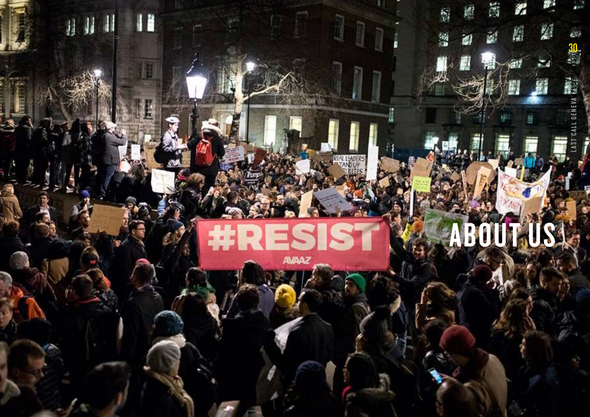<span id="page-29-0"></span>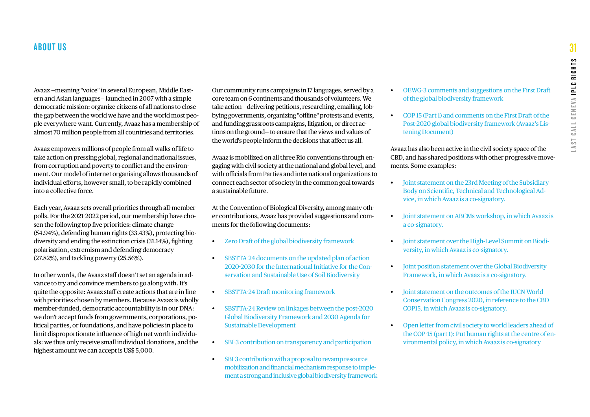Avaaz —meaning "voice" in several European, Middle Eastern and Asian languages— launched in 2007 with a simple democratic mission: organize citizens of all nations to close the gap between the world we have and the world most people everywhere want. Currently, Avaaz has a membership of almost 70 million people from all countries and territories.

Avaaz empowers millions of people from all walks of life to take action on pressing global, regional and national issues, from corruption and poverty to conflict and the environment. Our model of internet organising allows thousands of individual efforts, however small, to be rapidly combined into a collective force.

Each year, Avaaz sets overall priorities through all-member polls. For the 2021-2022 period, our membership have chosen the following top five priorities: climate change (54.94%), defending human rights (33.43%), protecting biodiversity and ending the extinction crisis (31.14%), fighting polarisation, extremism and defending democracy (27.82%), and tackling poverty (25.56%).

In other words, the Avaaz staff doesn't set an agenda in advance to try and convince members to go along with. It's quite the opposite: Avaaz staff create actions that are in line with priorities chosen by members. Because Avaaz is wholly member-funded, democratic accountability is in our DNA: we don't accept funds from governments, corporations, political parties, or foundations, and have policies in place to limit disproportionate influence of high net worth individuals: we thus only receive small individual donations, and the highest amount we can accept is US\$ 5,000.

Our community runs campaigns in 17 languages, served by a core team on 6 continents and thousands of volunteers. We take action —delivering petitions, researching, emailing, lobbying governments, organizing "offline" protests and events, and funding grassroots campaigns, litigation, or direct actions on the ground— to ensure that the views and values of the world's people inform the decisions that affect us all.

Avaaz is mobilized on all three Rio conventions through engaging with civil society at the national and global level, and with officials from Parties and international organizations to connect each sector of society in the common goal towards a sustainable future.

At the Convention of Biological Diversity, among many other contributions, Avaaz has provided suggestions and comments for the following documents:

- [Zero Draft of the global biodiversity framework](https://www.cbd.int/api/v2013/documents/87366F86-8CFB-ECFB-B594-64C9BD63AB6F/attachments/Avaaz-2.pdf)
- [SBSTTA-24 documents on the updated plan of action](https://avaazmedia.s3.amazonaws.com/SBSTTA%2024%20peer%20review%20-%20Avaaz%20comments%20on%20Updated%20plan%20of%20action%202020-2030%20for%20the%20International%20Initiative%20for%20the%20Conservation%20and%20Sustainable%20Use%20of%20Soil%20Biodiversity.pdf)  [2020-2030 for the International Initiative for the Con](https://avaazmedia.s3.amazonaws.com/SBSTTA%2024%20peer%20review%20-%20Avaaz%20comments%20on%20Updated%20plan%20of%20action%202020-2030%20for%20the%20International%20Initiative%20for%20the%20Conservation%20and%20Sustainable%20Use%20of%20Soil%20Biodiversity.pdf)[servation and Sustainable Use of Soil Biodiversity](https://avaazmedia.s3.amazonaws.com/SBSTTA%2024%20peer%20review%20-%20Avaaz%20comments%20on%20Updated%20plan%20of%20action%202020-2030%20for%20the%20International%20Initiative%20for%20the%20Conservation%20and%20Sustainable%20Use%20of%20Soil%20Biodiversity.pdf)
- [SBSTTA-24 Draft monitoring framework](https://www.cbd.int/api/v2013/documents/ADDD8E4C-3759-0C38-4898-1385FB518A20/attachments/Avaaz(1).pdf)
- [SBSTTA-24 Review on linkages between the post-2020](https://www.cbd.int/api/v2013/documents/ADDD8E4C-3759-0C38-4898-1385FB518A20/attachments/Avaaz(2).pdf)  [Global Biodiversity Framework and 2030 Agenda for](https://www.cbd.int/api/v2013/documents/ADDD8E4C-3759-0C38-4898-1385FB518A20/attachments/Avaaz(2).pdf)  [Sustainable Development](https://www.cbd.int/api/v2013/documents/ADDD8E4C-3759-0C38-4898-1385FB518A20/attachments/Avaaz(2).pdf)
- [SBI-3 contribution on transparency and participation](https://www.cbd.int/doc/interventions/604ae75dbe155c00016bdbb6/SBI-3%20Convention%20on%20Biological%20Diversity%20(March%202021)%20I%20Statement%20from%20Avaaz%20on%20transparency%20and%20participation.pdf)
- [SBI-3 contribution with a proposal to revamp resource](https://www.cbd.int/doc/interventions/60a0762d84af93000140c427/Avaaz%20statement%20SBI%203%20-%20Agenda%20items%205-6%20(May%202021).pdf)  [mobilization and financial mechanism response to imple](https://www.cbd.int/doc/interventions/60a0762d84af93000140c427/Avaaz%20statement%20SBI%203%20-%20Agenda%20items%205-6%20(May%202021).pdf)[ment a strong and inclusive global biodiversity framework](https://www.cbd.int/doc/interventions/60a0762d84af93000140c427/Avaaz%20statement%20SBI%203%20-%20Agenda%20items%205-6%20(May%202021).pdf)
- [OEWG-3 comments and suggestions on the First Draft](https://www.cbd.int/doc/interventions/6131d0df95cf8200016faa54/Avaaz_closing_OEWG3.pdf)  [of the global biodiversity framework](https://www.cbd.int/doc/interventions/6131d0df95cf8200016faa54/Avaaz_closing_OEWG3.pdf)
- [COP 15 \(Part 1\) and comments on the First Draft of the](https://avaazimages.avaaz.org/CBD%20COP%2015%20-%20Avaaz%20listening%20document%20%2811th%20October%202021%29.pdf)  [Post-2020 global biodiversity framework \(Avaaz's Lis](https://avaazimages.avaaz.org/CBD%20COP%2015%20-%20Avaaz%20listening%20document%20%2811th%20October%202021%29.pdf)[tening Document\)](https://avaazimages.avaaz.org/CBD%20COP%2015%20-%20Avaaz%20listening%20document%20%2811th%20October%202021%29.pdf)

Avaaz has also been active in the civil society space of the CBD, and has shared positions with other progressive movements. Some examples:

- [Joint statement on the 23rd Meeting of the Subsidiary](http://cbd-alliance.org/sites/default/files/documents/joint%20Final%20Statement%20_0.pdf)  [Body on Scientific, Technical and Technological Ad](http://cbd-alliance.org/sites/default/files/documents/joint%20Final%20Statement%20_0.pdf)[vice, in which Avaaz is a co-signatory.](http://cbd-alliance.org/sites/default/files/documents/joint%20Final%20Statement%20_0.pdf)
- [Joint statement on ABCMs workshop, in which Avaaz is](http://cbd-alliance.org/sites/default/files/documents/Report%20ABCM%202019.pdf)  [a co-signatory.](http://cbd-alliance.org/sites/default/files/documents/Report%20ABCM%202019.pdf)
- [Joint statement over the High-Level Summit on Biodi](https://globalforestcoalition.org/wp-content/uploads/2020/09/Peoples-response-ENG.pdf)[versity, in which Avaaz is co-signatory.](https://globalforestcoalition.org/wp-content/uploads/2020/09/Peoples-response-ENG.pdf)
- [Joint position statement over the Global Biodiversity](http://cbd-alliance.org/sites/default/files/documents/DO%27s%20and%20DONT%27s%20ENG.pdf)  [Framework, in which Avaaz is a co-signatory.](http://cbd-alliance.org/sites/default/files/documents/DO%27s%20and%20DONT%27s%20ENG.pdf)
- [Joint statement on the outcomes of the IUCN World](https://avaazimages.avaaz.org/Closing%20statement%202020%20IUCN-2.pdf)  [Conservation Congress 2020, in reference to the CBD](https://avaazimages.avaaz.org/Closing%20statement%202020%20IUCN-2.pdf)  [COP15, in which Avaaz is co-signatory.](https://avaazimages.avaaz.org/Closing%20statement%202020%20IUCN-2.pdf)
- [Open letter from civil society to world leaders ahead of](https://www.forestpeoples.org/sites/default/files/documents/HR%20Env_signatory%20letter_english.pdf)  [the COP-15 \(part 1\): Put human rights at the centre of en](https://www.forestpeoples.org/sites/default/files/documents/HR%20Env_signatory%20letter_english.pdf)[vironmental policy, in which Avaaz is co-signatory](https://www.forestpeoples.org/sites/default/files/documents/HR%20Env_signatory%20letter_english.pdf)